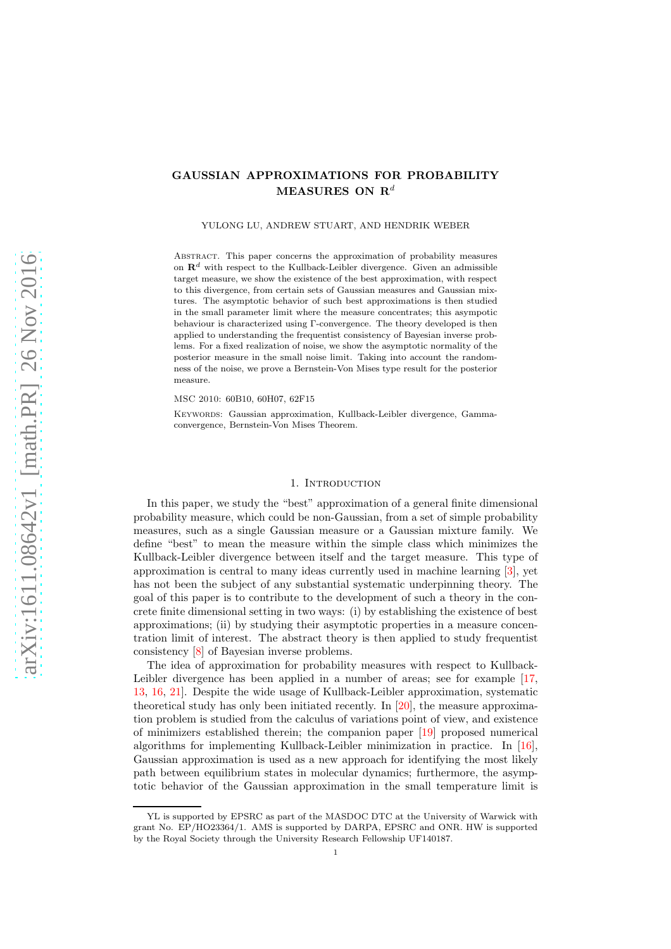## GAUSSIAN APPROXIMATIONS FOR PROBABILITY MEASURES ON  $\mathbf{R}^d$

YULONG LU, ANDREW STUART, AND HENDRIK WEBER

Abstract. This paper concerns the approximation of probability measures on  $\mathbb{R}^d$  with respect to the Kullback-Leibler divergence. Given an admissible target measure, we show the existence of the best approximation, with respect to this divergence, from certain sets of Gaussian measures and Gaussian mixtures. The asymptotic behavior of such best approximations is then studied in the small parameter limit where the measure concentrates; this asympotic behaviour is characterized using Γ-convergence. The theory developed is then applied to understanding the frequentist consistency of Bayesian inverse problems. For a fixed realization of noise, we show the asymptotic normality of the posterior measure in the small noise limit. Taking into account the randomness of the noise, we prove a Bernstein-Von Mises type result for the posterior measure.

MSC 2010: 60B10, 60H07, 62F15

KEYWORDS: Gaussian approximation, Kullback-Leibler divergence, Gammaconvergence, Bernstein-Von Mises Theorem.

#### 1. INTRODUCTION

In this paper, we study the "best" approximation of a general finite dimensional probability measure, which could be non-Gaussian, from a set of simple probability measures, such as a single Gaussian measure or a Gaussian mixture family. We define "best" to mean the measure within the simple class which minimizes the Kullback-Leibler divergence between itself and the target measure. This type of approximation is central to many ideas currently used in machine learning [\[3\]](#page-22-0), yet has not been the subject of any substantial systematic underpinning theory. The goal of this paper is to contribute to the development of such a theory in the concrete finite dimensional setting in two ways: (i) by establishing the existence of best approximations; (ii) by studying their asymptotic properties in a measure concentration limit of interest. The abstract theory is then applied to study frequentist consistency [\[8\]](#page-22-1) of Bayesian inverse problems.

The idea of approximation for probability measures with respect to Kullback-Leibler divergence has been applied in a number of areas; see for example [\[17,](#page-22-2) [13,](#page-22-3) [16,](#page-22-4) [21\]](#page-22-5). Despite the wide usage of Kullback-Leibler approximation, systematic theoretical study has only been initiated recently. In [\[20\]](#page-22-6), the measure approximation problem is studied from the calculus of variations point of view, and existence of minimizers established therein; the companion paper [\[19\]](#page-22-7) proposed numerical algorithms for implementing Kullback-Leibler minimization in practice. In [\[16\]](#page-22-4), Gaussian approximation is used as a new approach for identifying the most likely path between equilibrium states in molecular dynamics; furthermore, the asymptotic behavior of the Gaussian approximation in the small temperature limit is

YL is supported by EPSRC as part of the MASDOC DTC at the University of Warwick with grant No. EP/HO23364/1. AMS is supported by DARPA, EPSRC and ONR. HW is supported by the Royal Society through the University Research Fellowship UF140187.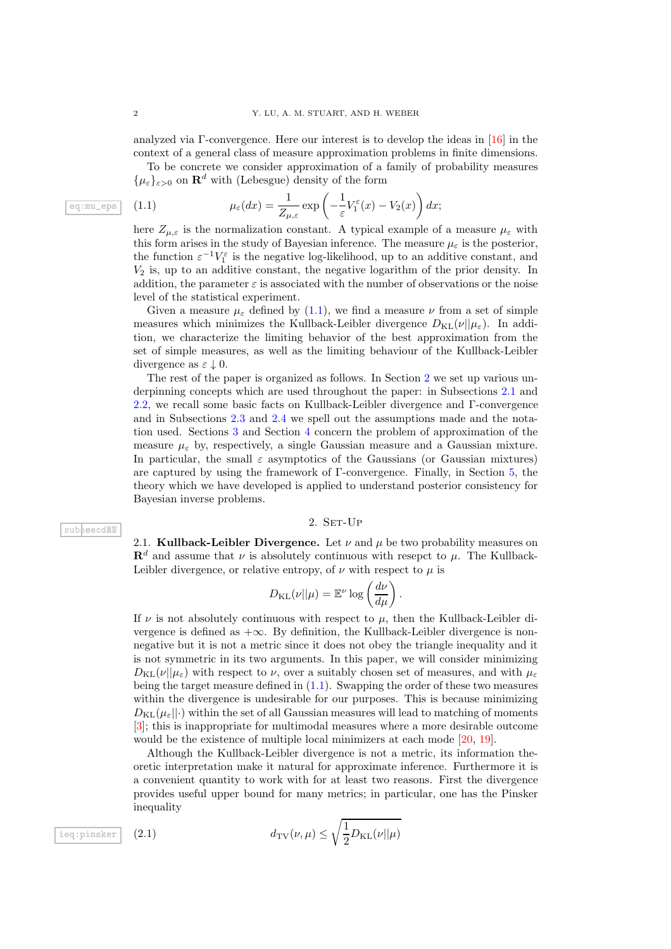analyzed via Γ-convergence. Here our interest is to develop the ideas in [\[16\]](#page-22-4) in the context of a general class of measure approximation problems in finite dimensions.

To be concrete we consider approximation of a family of probability measures  ${\mu_{\varepsilon}}_{\varepsilon>0}$  on  $\mathbf{R}^d$  with (Lebesgue) density of the form

<span id="page-1-0"></span>(1.1) 
$$
\mu_{\varepsilon}(dx) = \frac{1}{Z_{\mu,\varepsilon}} \exp\left(-\frac{1}{\varepsilon}V_1^{\varepsilon}(x) - V_2(x)\right)dx;
$$

here  $Z_{\mu,\varepsilon}$  is the normalization constant. A typical example of a measure  $\mu_{\varepsilon}$  with this form arises in the study of Bayesian inference. The measure  $\mu_{\varepsilon}$  is the posterior, the function  $\varepsilon^{-1}V_1^{\varepsilon}$  is the negative log-likelihood, up to an additive constant, and  $V_2$  is, up to an additive constant, the negative logarithm of the prior density. In addition, the parameter  $\varepsilon$  is associated with the number of observations or the noise level of the statistical experiment.

Given a measure  $\mu_{\varepsilon}$  defined by [\(1.1\)](#page-1-0), we find a measure  $\nu$  from a set of simple measures which minimizes the Kullback-Leibler divergence  $D_{\text{KL}}(\nu||\mu_{\varepsilon})$ . In addition, we characterize the limiting behavior of the best approximation from the set of simple measures, as well as the limiting behaviour of the Kullback-Leibler divergence as  $\varepsilon \downarrow 0$ .

The rest of the paper is organized as follows. In Section [2](#page-1-1) we set up various underpinning concepts which are used throughout the paper: in Subsections [2.1](#page-1-2) and [2.2,](#page-2-0) we recall some basic facts on Kullback-Leibler divergence and Γ-convergence and in Subsections [2.3](#page-2-1) and [2.4](#page-3-0) we spell out the assumptions made and the notation used. Sections [3](#page-3-1) and Section [4](#page-9-0) concern the problem of approximation of the measure  $\mu_{\varepsilon}$  by, respectively, a single Gaussian measure and a Gaussian mixture. In particular, the small  $\varepsilon$  asymptotics of the Gaussians (or Gaussian mixtures) are captured by using the framework of Γ-convergence. Finally, in Section [5,](#page-14-0) the theory which we have developed is applied to understand posterior consistency for Bayesian inverse problems.

#### 2. SET-UP

<span id="page-1-2"></span><span id="page-1-1"></span>2.1. Kullback-Leibler Divergence. Let  $\nu$  and  $\mu$  be two probability measures on  $\mathbf{R}^d$  and assume that  $\nu$  is absolutely continuous with resepct to  $\mu$ . The Kullback-Leibler divergence, or relative entropy, of  $\nu$  with respect to  $\mu$  is

$$
D_{\mathrm{KL}}(\nu||\mu) = \mathbb{E}^{\nu} \log \left( \frac{d\nu}{d\mu} \right).
$$

If  $\nu$  is not absolutely continuous with respect to  $\mu$ , then the Kullback-Leibler divergence is defined as  $+\infty$ . By definition, the Kullback-Leibler divergence is nonnegative but it is not a metric since it does not obey the triangle inequality and it is not symmetric in its two arguments. In this paper, we will consider minimizing  $D_{\text{KL}}(\nu||\mu_{\varepsilon})$  with respect to  $\nu$ , over a suitably chosen set of measures, and with  $\mu_{\varepsilon}$ being the target measure defined in [\(1.1\)](#page-1-0). Swapping the order of these two measures within the divergence is undesirable for our purposes. This is because minimizing  $D_{\text{KL}}(\mu_{\varepsilon}||\cdot)$  within the set of all Gaussian measures will lead to matching of moments [\[3\]](#page-22-0); this is inappropriate for multimodal measures where a more desirable outcome would be the existence of multiple local minimizers at each mode [\[20,](#page-22-6) [19\]](#page-22-7).

<span id="page-1-3"></span>Although the Kullback-Leibler divergence is not a metric, its information theoretic interpretation make it natural for approximate inference. Furthermore it is a convenient quantity to work with for at least two reasons. First the divergence provides useful upper bound for many metrics; in particular, one has the Pinsker inequality

$$
\frac{1}{\text{ieq:pinsker}} \quad (2.1) \quad d_{\text{TV}}(\nu, \mu) \le \sqrt{\frac{1}{2} D_{\text{KL}}(\nu || \mu)}
$$

subseccell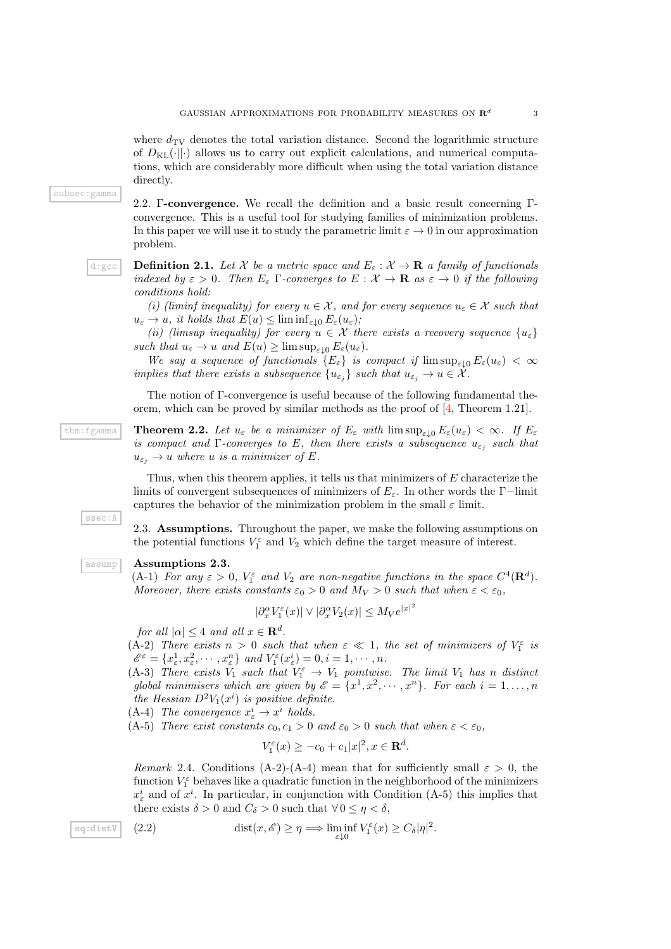3

where  $d_{\text{TV}}$  denotes the total variation distance. Second the logarithmic structure of  $D_{\text{KL}}(\cdot||\cdot)$  allows us to carry out explicit calculations, and numerical computations, which are considerably more difficult when using the total variation distance directly.

subsec:gamma

<span id="page-2-0"></span>2.2. Γ-convergence. We recall the definition and a basic result concerning Γconvergence. This is a useful tool for studying families of minimization problems. In this paper we will use it to study the parametric limit  $\varepsilon \to 0$  in our approximation problem.

<span id="page-2-3"></span>d:gcc **Definition 2.1.** Let X be a metric space and  $E_{\varepsilon}: X \to \mathbf{R}$  a family of functionals *indexed by*  $\varepsilon > 0$ *. Then*  $E_{\varepsilon}$  Γ-converges to  $E : \mathcal{X} \to \mathbf{R}$  as  $\varepsilon \to 0$  *if the following conditions hold:*

*(i) (liminf inequality) for every*  $u \in \mathcal{X}$ , and for every sequence  $u_{\varepsilon} \in \mathcal{X}$  such that  $u_{\varepsilon} \to u$ , it holds that  $E(u) \leq \liminf_{\varepsilon \downarrow 0} E_{\varepsilon}(u_{\varepsilon})$ ;

*(ii) (limsup inequality) for every*  $u \in \mathcal{X}$  *there exists a recovery sequence*  $\{u_{\varepsilon}\}\$ *such that*  $u_{\varepsilon} \to u$  *and*  $E(u) \ge \limsup_{\varepsilon \to 0} E_{\varepsilon}(u_{\varepsilon}).$ 

*We say a sequence of functionals*  ${E_{\varepsilon}}$  *is compact if*  $\limsup_{\varepsilon\downarrow0} E_{\varepsilon}(u_{\varepsilon}) < \infty$ *implies that there exists a subsequence*  $\{u_{\varepsilon_j}\}\$  *such that*  $u_{\varepsilon_j}\to u\in\mathcal{X}$ *.* 

<span id="page-2-5"></span>The notion of Γ-convergence is useful because of the following fundamental theorem, which can be proved by similar methods as the proof of [\[4,](#page-22-8) Theorem 1.21].

 $t_{\text{thm}}$ :fgamma **Theorem 2.2.** Let  $u_{\varepsilon}$  be a minimizer of  $E_{\varepsilon}$  with  $\limsup_{\varepsilon\downarrow 0} E_{\varepsilon}(u_{\varepsilon}) < \infty$ . If  $E_{\varepsilon}$ *is compact and*  $\Gamma$ *-converges to*  $E$ *, then there exists a subsequence*  $u_{\varepsilon_j}$  such that  $u_{\varepsilon_i} \to u$  where u is a minimizer of E.

> Thus, when this theorem applies, it tells us that minimizers of  $E$  characterize the limits of convergent subsequences of minimizers of  $E_{\varepsilon}$ . In other words the Γ−limit captures the behavior of the minimization problem in the small  $\varepsilon$  limit.

> <span id="page-2-1"></span>2.3. Assumptions. Throughout the paper, we make the following assumptions on the potential functions  $V_1^{\varepsilon}$  and  $V_2$  which define the target measure of interest.

#### assump Assumptions 2.3.

<span id="page-2-2"></span>(A-1) *For any*  $\varepsilon > 0$ ,  $V_1^{\varepsilon}$  *and*  $V_2$  *are non-negative functions in the space*  $C^4(\mathbf{R}^d)$ *. Moreover, there exists constants*  $\varepsilon_0 > 0$  *and*  $M_V > 0$  *such that when*  $\varepsilon < \varepsilon_0$ *,* 

2

$$
|\partial_x^{\alpha} V_1^{\varepsilon}(x)| \vee |\partial_x^{\alpha} V_2(x)| \le M_V e^{|x|}
$$

*for all*  $|\alpha| \leq 4$  *and all*  $x \in \mathbf{R}^d$ .

(A-2) *There exists*  $n > 0$  *such that when*  $\varepsilon \ll 1$ *, the set of minimizers of*  $V_1^{\varepsilon}$  *is*  $\mathscr{E}^{\varepsilon} = \{x_{\varepsilon}^1, x_{\varepsilon}^2, \cdots, x_{\varepsilon}^n\}$  and  $V_1^{\varepsilon}(x_{\varepsilon}^i) = 0, i = 1, \cdots, n$ .

(A-3) *There exists*  $V_1$  *such that*  $V_1^{\varepsilon} \to V_1$  *pointwise. The limit*  $V_1$  *has* n *distinct* global minimisers which are given by  $\mathscr{E} = \{x^1, x^2, \cdots, x^n\}$ . For each  $i = 1, \ldots, n$ *the Hessian*  $D^2V_1(x^i)$  *is positive definite.* 

 $(A-4)$  *The convergence*  $x^i_{\varepsilon} \to x^i$  *holds.* 

(A-5) *There exist constants*  $c_0, c_1 > 0$  *and*  $\varepsilon_0 > 0$  *such that when*  $\varepsilon < \varepsilon_0$ ,

<span id="page-2-4"></span>
$$
V_1^{\varepsilon}(x) \ge -c_0 + c_1|x|^2, x \in \mathbf{R}^d.
$$

*Remark* 2.4. Conditions (A-2)-(A-4) mean that for sufficiently small  $\varepsilon > 0$ , the function  $V_1^{\varepsilon}$  behaves like a quadratic function in the neighborhood of the minimizers  $x_{\varepsilon}^{i}$  and of  $x^{i}$ . In particular, in conjunction with Condition (A-5) this implies that there exists  $\delta > 0$  and  $C_{\delta} > 0$  such that  $\forall 0 \leq \eta < \delta$ ,

eq:distV (2.2) dist
$$
(x, \mathscr{E}) \ge \eta \Longrightarrow \liminf_{\varepsilon \downarrow 0} V_1^{\varepsilon}(x) \ge C_{\delta} |\eta|^2
$$
.

ssec:A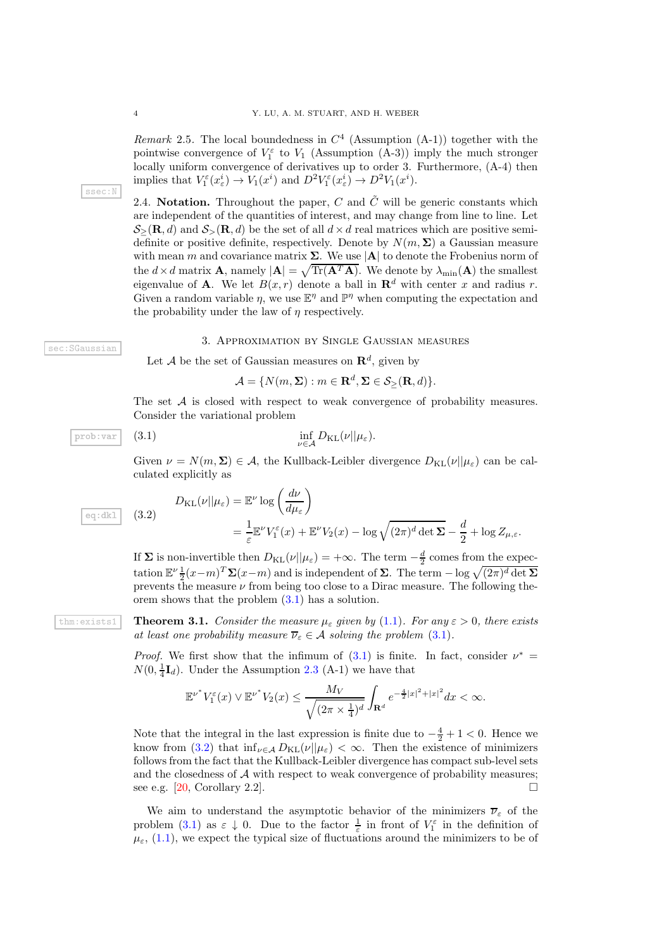*Remark* 2.5. The local boundedness in  $C<sup>4</sup>$  (Assumption (A-1)) together with the pointwise convergence of  $V_1^{\varepsilon}$  to  $V_1$  (Assumption (A-3)) imply the much stronger locally uniform convergence of derivatives up to order 3. Furthermore,  $(A-4)$  then implies that  $V_1^{\varepsilon}(x_{\varepsilon}^i) \to V_1(x^i)$  and  $D^2 V_1^{\varepsilon}(x_{\varepsilon}^i) \to D^2 V_1(x^i)$ .

<span id="page-3-0"></span>2.4. Notation. Throughout the paper, C and  $\tilde{C}$  will be generic constants which are independent of the quantities of interest, and may change from line to line. Let  $\mathcal{S}_{>}(\mathbf{R}, d)$  and  $\mathcal{S}_{>}(\mathbf{R}, d)$  be the set of all  $d \times d$  real matrices which are positive semidefinite or positive definite, respectively. Denote by  $N(m, \Sigma)$  a Gaussian measure with mean m and covariance matrix  $\Sigma$ . We use  $|\mathbf{A}|$  to denote the Frobenius norm of the  $d \times d$  matrix **A**, namely  $|\mathbf{A}| = \sqrt{\text{Tr}(\mathbf{A}^T \mathbf{A})}$ . We denote by  $\lambda_{\min}(\mathbf{A})$  the smallest eigenvalue of **A**. We let  $B(x, r)$  denote a ball in  $\mathbb{R}^d$  with center x and radius r. Given a random variable  $\eta$ , we use  $\mathbb{E}^{\eta}$  and  $\mathbb{P}^{\eta}$  when computing the expectation and the probability under the law of  $\eta$  respectively.

sec:SGaussian

ssec:N

#### 3. Approximation by Single Gaussian measures

<span id="page-3-1"></span>Let A be the set of Gaussian measures on  $\mathbb{R}^d$ , given by

<span id="page-3-2"></span>
$$
\mathcal{A} = \{ N(m, \Sigma) : m \in \mathbf{R}^d, \Sigma \in \mathcal{S}_{\geq}(\mathbf{R}, d) \}.
$$

The set A is closed with respect to weak convergence of probability measures. Consider the variational problem

$$
\inf_{\nu\in\mathcal{A}}D_{\mathrm{KL}}(\nu||\mu_{\varepsilon}).
$$

Given  $\nu = N(m, \Sigma) \in \mathcal{A}$ , the Kullback-Leibler divergence  $D_{\text{KL}}(\nu||\mu_{\varepsilon})$  can be calculated explicitly as

<span id="page-3-3"></span>
$$
D_{\text{KL}}(\nu||\mu_{\varepsilon}) = \mathbb{E}^{\nu} \log \left(\frac{d\nu}{d\mu_{\varepsilon}}\right)
$$
  
=  $\frac{1}{\varepsilon} \mathbb{E}^{\nu} V_1^{\varepsilon}(x) + \mathbb{E}^{\nu} V_2(x) - \log \sqrt{(2\pi)^d \det \Sigma} - \frac{d}{2} + \log Z_{\mu,\varepsilon}.$ 

If  $\Sigma$  is non-invertible then  $D_{\text{KL}}(\nu||\mu_{\varepsilon}) = +\infty$ . The term  $-\frac{d}{2}$  comes from the expectation  $\mathbb{E}^{\nu} \frac{1}{2} (x-m)^T \Sigma (x-m)$  and is independent of  $\Sigma$ . The term  $-\log \sqrt{(2\pi)^d \det \Sigma}$ prevents the measure  $\nu$  from being too close to a Dirac measure. The following theorem shows that the problem [\(3.1\)](#page-3-2) has a solution.

thm:exists1 **Theorem 3.1.** *Consider the measure*  $\mu_{\varepsilon}$  *given by* [\(1.1\)](#page-1-0)*. For any*  $\varepsilon > 0$ *, there exists at least one probability measure*  $\overline{\nu}_{\varepsilon} \in A$  *solving the problem* [\(3.1\)](#page-3-2).

> <span id="page-3-4"></span>*Proof.* We first show that the infimum of  $(3.1)$  is finite. In fact, consider  $\nu^* =$  $N(0, \frac{1}{4}\mathbf{I}_d)$ . Under the Assumption [2.3](#page-2-2) (A-1) we have that

$$
{\mathbb E}^{\nu^*}V_1^\varepsilon(x)\vee{\mathbb E}^{\nu^*}V_2(x)\leq \frac{M_V}{\sqrt{(2\pi\times\frac{1}{4})^d}}\int_{\mathbf{R}^d}e^{-\frac{4}{2}|x|^2+|x|^2}dx<\infty.
$$

Note that the integral in the last expression is finite due to  $-\frac{4}{2} + 1 < 0$ . Hence we know from [\(3.2\)](#page-3-3) that  $\inf_{\nu \in A} D_{KL}(\nu||\mu_{\varepsilon}) < \infty$ . Then the existence of minimizers follows from the fact that the Kullback-Leibler divergence has compact sub-level sets and the closedness of A with respect to weak convergence of probability measures;<br>see e.g. [20, Corollary 2.2]. see e.g. [\[20,](#page-22-6) Corollary 2.2].

We aim to understand the asymptotic behavior of the minimizers  $\overline{\nu}_{\varepsilon}$  of the problem [\(3.1\)](#page-3-2) as  $\varepsilon \downarrow 0$ . Due to the factor  $\frac{1}{\varepsilon}$  in front of  $V_1^{\varepsilon}$  in the definition of  $\mu_{\varepsilon}$ , [\(1.1\)](#page-1-0), we expect the typical size of fluctuations around the minimizers to be of

eq:dkl  $(3.2)$ 

 $prob:var$  (3.1)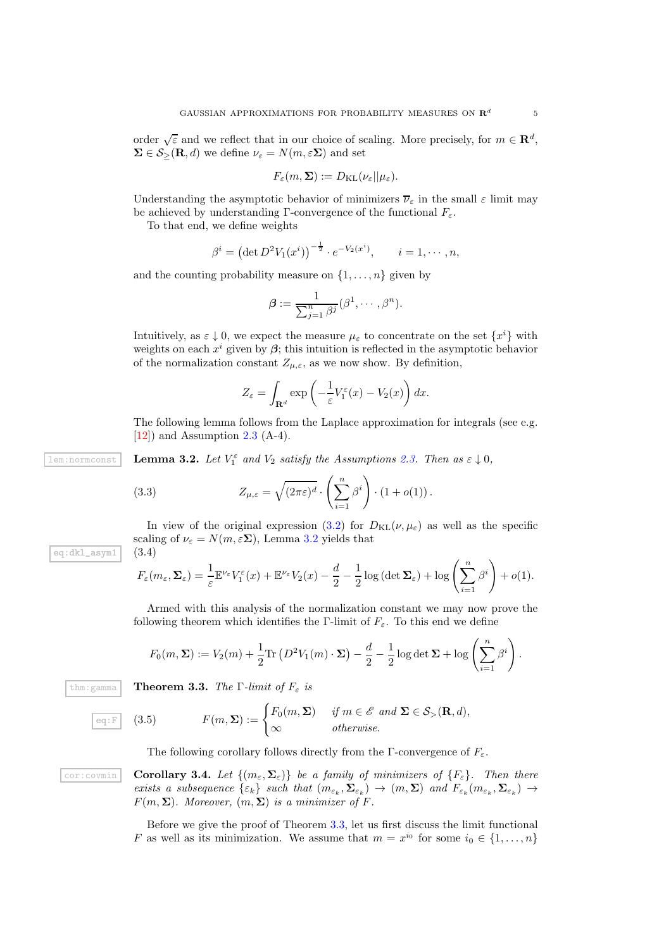order  $\sqrt{\varepsilon}$  and we reflect that in our choice of scaling. More precisely, for  $m \in \mathbb{R}^d$ ,  $\Sigma \in \mathcal{S}_{>}(\mathbf{R}, d)$  we define  $\nu_{\varepsilon} = N(m, \varepsilon \Sigma)$  and set

$$
F_{\varepsilon}(m,\Sigma) := D_{\mathrm{KL}}(\nu_{\varepsilon}||\mu_{\varepsilon}).
$$

Understanding the asymptotic behavior of minimizers  $\overline{\nu}_{\varepsilon}$  in the small  $\varepsilon$  limit may be achieved by understanding Γ-convergence of the functional  $F_{\varepsilon}$ .

To that end, we define weights

$$
\beta^{i} = (\det D^{2}V_{1}(x^{i}))^{-\frac{1}{2}} \cdot e^{-V_{2}(x^{i})}, \qquad i = 1, \cdots, n,
$$

and the counting probability measure on  $\{1, \ldots, n\}$  given by

$$
\boldsymbol{\beta} := \frac{1}{\sum_{j=1}^n \beta^j} (\beta^1, \cdots, \beta^n).
$$

Intuitively, as  $\varepsilon \downarrow 0$ , we expect the measure  $\mu_{\varepsilon}$  to concentrate on the set  $\{x^{i}\}$  with weights on each  $x^i$  given by  $\beta$ ; this intuition is reflected in the asymptotic behavior of the normalization constant  $Z_{\mu,\varepsilon}$ , as we now show. By definition,

$$
Z_{\varepsilon} = \int_{\mathbf{R}^d} \exp\left(-\frac{1}{\varepsilon}V_1^{\varepsilon}(x) - V_2(x)\right) dx.
$$

The following lemma follows from the Laplace approximation for integrals (see e.g.  $[12]$  and Assumption [2.3](#page-2-2) (A-4).

 $\frac{1}{2}$  **Lemma 3.2.** Let  $V_1^{\varepsilon}$  and  $V_2$  satisfy the Assumptions [2.3.](#page-2-2) Then as  $\varepsilon \downarrow 0$ ,

<span id="page-4-0"></span>(3.3) 
$$
Z_{\mu,\varepsilon} = \sqrt{(2\pi\varepsilon)^d} \cdot \left(\sum_{i=1}^n \beta^i\right) \cdot (1 + o(1)).
$$

In view of the original expression [\(3.2\)](#page-3-3) for  $D_{\text{KL}}(\nu, \mu_{\varepsilon})$  as well as the specific scaling of  $\nu_{\varepsilon} = N(m, \varepsilon \Sigma)$ , Lemma [3.2](#page-4-0) yields that eq:dkl\_asym1  $(3.4)$ 

<span id="page-4-3"></span>
$$
F_{\varepsilon}(m_{\varepsilon}, \Sigma_{\varepsilon}) = \frac{1}{\varepsilon} \mathbb{E}^{\nu_{\varepsilon}} V_1^{\varepsilon}(x) + \mathbb{E}^{\nu_{\varepsilon}} V_2(x) - \frac{d}{2} - \frac{1}{2} \log \left( \det \Sigma_{\varepsilon} \right) + \log \left( \sum_{i=1}^n \beta^i \right) + o(1).
$$

Armed with this analysis of the normalization constant we may now prove the following theorem which identifies the Γ-limit of  $F_{\varepsilon}$ . To this end we define

$$
F_0(m,\Sigma) := V_2(m) + \frac{1}{2}\text{Tr}\left(D^2V_1(m)\cdot\Sigma\right) - \frac{d}{2} - \frac{1}{2}\log\det\Sigma + \log\left(\sum_{i=1}^n\beta^i\right).
$$

 $\overline{\text{thm}:\text{gamma}}$  **Theorem 3.3.** *The* Γ-limit of  $F_{\varepsilon}$  is

<span id="page-4-1"></span>
$$
\overline{e \in \mathbb{F}} \quad (3.5) \quad F(m, \Sigma) := \begin{cases} F_0(m, \Sigma) & \text{if } m \in \mathscr{E} \text{ and } \Sigma \in \mathcal{S}_> (\mathbf{R}, d), \\ \infty & \text{otherwise.} \end{cases}
$$

<span id="page-4-4"></span><span id="page-4-2"></span>The following corollary follows directly from the Γ-convergence of  $F_{\varepsilon}$ .

cor:covmin **Corollary 3.4.** Let  $\{(m_{\varepsilon}, \Sigma_{\varepsilon})\}$  be a family of minimizers of  $\{F_{\varepsilon}\}\$ . Then there *exists a subsequence* {εk} *such that* (mε<sup>k</sup> , Σε<sup>k</sup> ) → (m, Σ) *and* Fε<sup>k</sup> (mε<sup>k</sup> , Σε<sup>k</sup> ) →  $F(m, \Sigma)$ *. Moreover,*  $(m, \Sigma)$  *is a minimizer of* F.

> Before we give the proof of Theorem [3.3,](#page-4-1) let us first discuss the limit functional F as well as its minimization. We assume that  $m = x^{i_0}$  for some  $i_0 \in \{1, ..., n\}$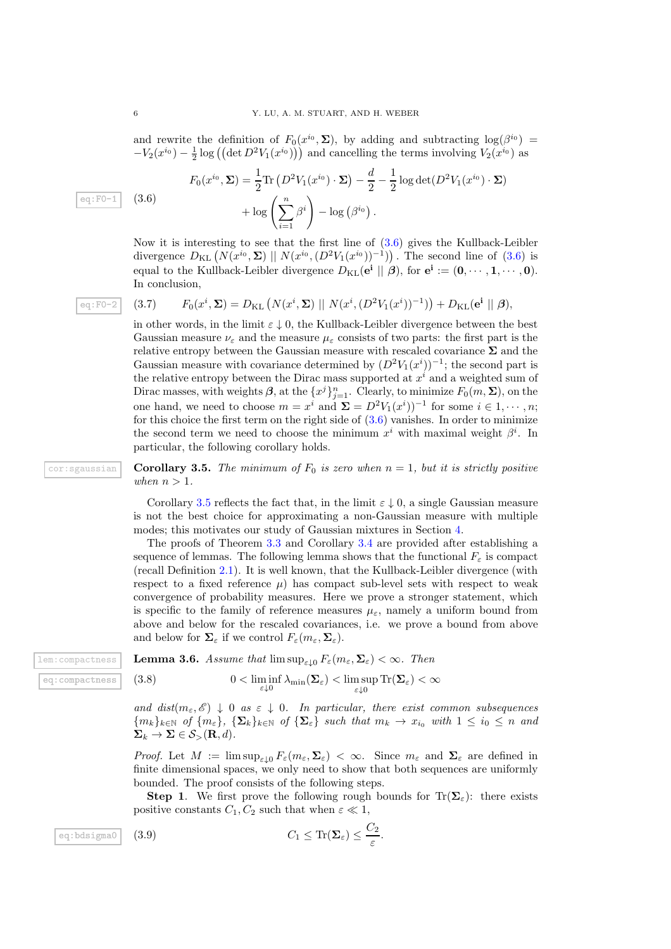and rewrite the definition of  $F_0(x^{i_0}, \Sigma)$ , by adding and subtracting  $log(\beta^{i_0}) =$  $-V_2(x^{i_0}) - \frac{1}{2} \log \left( \left( \det D^2 V_1(x^{i_0}) \right) \right)$  and cancelling the terms involving  $V_2(x^{i_0})$  as

<span id="page-5-0"></span>
$$
F_0(x^{i_0}, \Sigma) = \frac{1}{2} \text{Tr} \left( D^2 V_1(x^{i_0}) \cdot \Sigma \right) - \frac{d}{2} - \frac{1}{2} \log \det(D^2 V_1(x^{i_0}) \cdot \Sigma)
$$

$$
+ \log \left( \sum_{i=1}^n \beta^i \right) - \log \left( \beta^{i_0} \right).
$$

Now it is interesting to see that the first line of  $(3.6)$  gives the Kullback-Leibler divergence  $D_{KL} (N(x^{i_0}, \Sigma) || N(x^{i_0}, (D^2V_1(x^{i_0}))^{-1}))$ . The second line of [\(3.6\)](#page-5-0) is equal to the Kullback-Leibler divergence  $D_{\text{KL}}(\mathbf{e}^i \mid \mid \beta)$ , for  $\mathbf{e}^i := (\mathbf{0}, \cdots, \mathbf{1}, \cdots, \mathbf{0})$ . In conclusion,

$$
\boxed{\texttt{eq:F0-2}} \quad (3.7)
$$

<span id="page-5-5"></span>
$$
F_0(x^i, \mathbf{\Sigma}) = D_{\mathrm{KL}}\left(N(x^i, \mathbf{\Sigma}) \mid N(x^i, (D^2 V_1(x^i))^{-1})\right) + D_{\mathrm{KL}}(\mathbf{e}^i \mid \mid \boldsymbol{\beta}),
$$

in other words, in the limit  $\varepsilon \downarrow 0$ , the Kullback-Leibler divergence between the best Gaussian measure  $\nu_{\varepsilon}$  and the measure  $\mu_{\varepsilon}$  consists of two parts: the first part is the relative entropy between the Gaussian measure with rescaled covariance  $\Sigma$  and the Gaussian measure with covariance determined by  $(D^2V_1(x^i))^{-1}$ ; the second part is the relative entropy between the Dirac mass supported at  $x^i$  and a weighted sum of Dirac masses, with weights  $\beta$ , at the  $\{x^j\}_{j=1}^n$ . Clearly, to minimize  $F_0(m, \Sigma)$ , on the one hand, we need to choose  $m = x^i$  and  $\Sigma = D^2 V_1(x^i))^{-1}$  for some  $i \in 1, \dots, n$ ; for this choice the first term on the right side of  $(3.6)$  vanishes. In order to minimize the second term we need to choose the minimum  $x^i$  with maximal weight  $\beta^i$ . In particular, the following corollary holds.

 $\text{cor:}$  sgaussian **Corollary 3.5.** The minimum of  $F_0$  is zero when  $n = 1$ , but it is strictly positive *when*  $n > 1$ *.* 

> <span id="page-5-1"></span>Corollary [3.5](#page-5-1) reflects the fact that, in the limit  $\varepsilon \downarrow 0$ , a single Gaussian measure is not the best choice for approximating a non-Gaussian measure with multiple modes; this motivates our study of Gaussian mixtures in Section [4.](#page-9-0)

> The proofs of Theorem [3.3](#page-4-1) and Corollary [3.4](#page-4-2) are provided after establishing a sequence of lemmas. The following lemma shows that the functional  $F_{\varepsilon}$  is compact (recall Definition [2.1\)](#page-2-3). It is well known, that the Kullback-Leibler divergence (with respect to a fixed reference  $\mu$ ) has compact sub-level sets with respect to weak convergence of probability measures. Here we prove a stronger statement, which is specific to the family of reference measures  $\mu_{\varepsilon}$ , namely a uniform bound from above and below for the rescaled covariances, i.e. we prove a bound from above and below for  $\Sigma_{\varepsilon}$  if we control  $F_{\varepsilon}(m_{\varepsilon},\Sigma_{\varepsilon}).$

lem:compactness **I** eq: compactness  $(3.8)$ 

<span id="page-5-4"></span>Lemma 3.6. Assume that 
$$
\limsup_{\varepsilon \to 0} F_{\varepsilon}(m_{\varepsilon}, \Sigma_{\varepsilon}) < \infty
$$
. Then

<span id="page-5-3"></span>
$$
0<\liminf_{\varepsilon\downarrow 0}\lambda_{\min}(\boldsymbol{\Sigma}_\varepsilon)<\limsup_{\varepsilon\downarrow 0}\operatorname{Tr}(\boldsymbol{\Sigma}_\varepsilon)<\infty
$$

*and dist* $(m_{\varepsilon}, \mathscr{E}) \downarrow 0$  *as*  $\varepsilon \downarrow 0$ *. In particular, there exist common subsequences*  ${m_k}_{k \in \mathbb{N}}$  *of*  ${m_{\varepsilon}}$ ,  ${\sum_k}_{k \in \mathbb{N}}$  *of*  ${\sum_{\varepsilon}}$  *such that*  $m_k \to x_{i_0}$  *with*  $1 \leq i_0 \leq n$  *and*  $\Sigma_k \to \Sigma \in \mathcal{S}_{>}(\mathbf{R}, d)$ .

*Proof.* Let  $M := \limsup_{\varepsilon \downarrow 0} F_{\varepsilon}(m_{\varepsilon}, \Sigma_{\varepsilon}) < \infty$ . Since  $m_{\varepsilon}$  and  $\Sigma_{\varepsilon}$  are defined in finite dimensional spaces, we only need to show that both sequences are uniformly bounded. The proof consists of the following steps.

<span id="page-5-2"></span>**Step 1.** We first prove the following rough bounds for  $Tr(\Sigma_{\epsilon})$ : there exists positive constants  $C_1, C_2$  such that when  $\varepsilon \ll 1$ ,

$$
\boxed{\text{eq:bdsigma0}} \quad (3.9) \qquad \qquad C_1 \leq \text{Tr}(\mathbf{\Sigma}_{\varepsilon}) \leq \frac{C_2}{\varepsilon}.
$$

eq:F0-1  $(3.6)$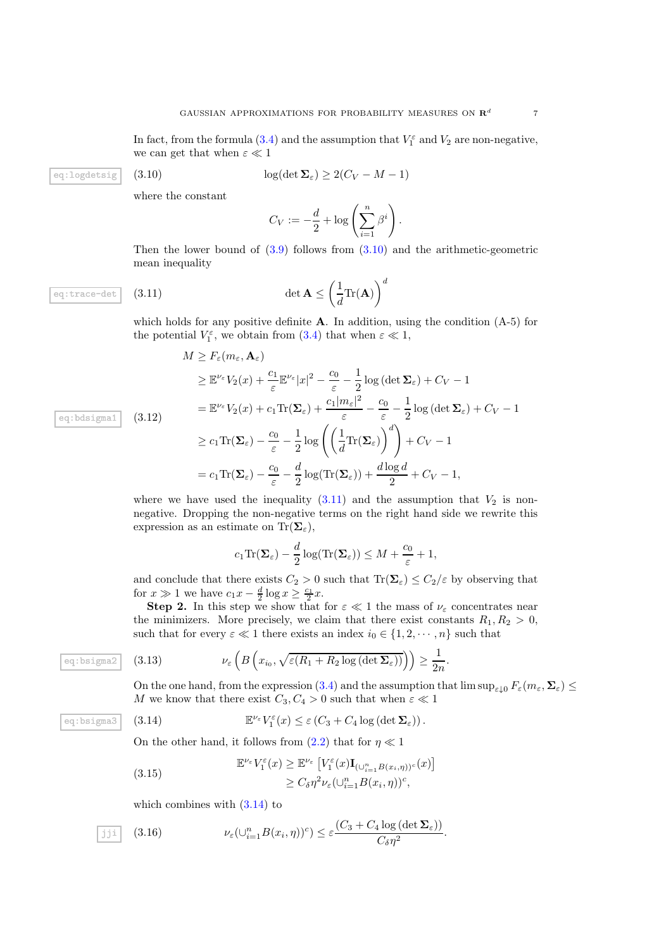In fact, from the formula [\(3.4\)](#page-4-3) and the assumption that  $V_1^{\varepsilon}$  and  $V_2$  are non-negative, we can get that when  $\varepsilon \ll 1$ 

eq:logdetsig  $(3.10)$ 

<span id="page-6-0"></span>
$$
\log(\det \mathbf{\Sigma}_{\varepsilon}) \ge 2(C_V - M - 1)
$$

where the constant

$$
C_V := -\frac{d}{2} + \log\left(\sum_{i=1}^n \beta^i\right).
$$

Then the lower bound of  $(3.9)$  follows from  $(3.10)$  and the arithmetic-geometric mean inequality

eq:trace-det  $(3.11)$ 

<span id="page-6-1"></span>
$$
\det \mathbf{A} \le \left(\frac{1}{d}\text{Tr}(\mathbf{A})\right)^d
$$

which holds for any positive definite  $A$ . In addition, using the condition  $(A-5)$  for the potential  $V_1^{\varepsilon}$ , we obtain from [\(3.4\)](#page-4-3) that when  $\varepsilon \ll 1$ ,

$$
M \ge F_{\varepsilon}(m_{\varepsilon}, \mathbf{A}_{\varepsilon})
$$
  
\n
$$
\ge \mathbb{E}^{\nu_{\varepsilon}} V_2(x) + \frac{c_1}{\varepsilon} \mathbb{E}^{\nu_{\varepsilon}} |x|^2 - \frac{c_0}{\varepsilon} - \frac{1}{2} \log \left( \det \Sigma_{\varepsilon} \right) + C_V - 1
$$
  
\n
$$
= \mathbb{E}^{\nu_{\varepsilon}} V_2(x) + c_1 \text{Tr}(\Sigma_{\varepsilon}) + \frac{c_1 |m_{\varepsilon}|^2}{\varepsilon} - \frac{c_0}{\varepsilon} - \frac{1}{2} \log \left( \det \Sigma_{\varepsilon} \right) + C_V - 1
$$
  
\n
$$
\ge c_1 \text{Tr}(\Sigma_{\varepsilon}) - \frac{c_0}{\varepsilon} - \frac{1}{2} \log \left( \left( \frac{1}{d} \text{Tr}(\Sigma_{\varepsilon}) \right)^d \right) + C_V - 1
$$
  
\n
$$
= c_1 \text{Tr}(\Sigma_{\varepsilon}) - \frac{c_0}{\varepsilon} - \frac{d}{2} \log(\text{Tr}(\Sigma_{\varepsilon})) + \frac{d \log d}{2} + C_V - 1,
$$

where we have used the inequality  $(3.11)$  and the assumption that  $V_2$  is nonnegative. Dropping the non-negative terms on the right hand side we rewrite this expression as an estimate on  $\text{Tr}(\Sigma_{\varepsilon})$ ,

$$
c_1 \text{Tr}(\mathbf{\Sigma}_{\varepsilon}) - \frac{d}{2} \log(\text{Tr}(\mathbf{\Sigma}_{\varepsilon})) \leq M + \frac{c_0}{\varepsilon} + 1,
$$

and conclude that there exists  $C_2 > 0$  such that  $\text{Tr}(\mathbf{\Sigma}_{\varepsilon}) \leq C_2/\varepsilon$  by observing that for  $x \gg 1$  we have  $c_1 x - \frac{d}{2} \log x \ge \frac{c_1}{2} x$ .

**Step 2.** In this step we show that for  $\varepsilon \ll 1$  the mass of  $\nu_{\varepsilon}$  concentrates near the minimizers. More precisely, we claim that there exist constants  $R_1, R_2 > 0$ , such that for every  $\varepsilon \ll 1$  there exists an index  $i_0 \in \{1, 2, \dots, n\}$  such that

$$
\begin{array}{ll} \text{(3.13)} & \nu_{\varepsilon} \left( B \left( x_{i_0}, \sqrt{\varepsilon (R_1 + R_2 \log \left( \det \mathbf{\Sigma}_{\varepsilon} \right))} \right) \right) \geq \frac{1}{2n} .\end{array}
$$

<span id="page-6-3"></span>On the one hand, from the expression [\(3.4\)](#page-4-3) and the assumption that  $\limsup_{\varepsilon\downarrow0}F_{\varepsilon}(m_{\varepsilon},\Sigma_{\varepsilon})\leq$ M we know that there exist  $C_3, C_4 > 0$  such that when  $\varepsilon \ll 1$ 

eq:bsigma3 (3.14) 
$$
\mathbb{E}
$$

<span id="page-6-2"></span>14) 
$$
\mathbb{E}^{\nu_{\varepsilon}} V_1^{\varepsilon}(x) \leq \varepsilon (C_3 + C_4 \log (\det \mathbf{\Sigma}_{\varepsilon})) .
$$

On the other hand, it follows from  $(2.2)$  that for  $\eta \ll 1$ 

(3.15) 
$$
\mathbb{E}^{\nu_{\varepsilon}} V_1^{\varepsilon}(x) \geq \mathbb{E}^{\nu_{\varepsilon}} \left[ V_1^{\varepsilon}(x) \mathbf{I}_{(\cup_{i=1}^n B(x_i, \eta))^c}(x) \right] \geq C_{\delta} \eta^2 \nu_{\varepsilon} (\cup_{i=1}^n B(x_i, \eta))^c,
$$

<span id="page-6-4"></span>which combines with  $(3.14)$  to

$$
\boxed{\text{iii}} \quad (3.16) \qquad \qquad \nu_{\varepsilon}(\cup_{i=1}^{n} B(x_i, \eta))^c) \leq \varepsilon \frac{(C_3 + C_4 \log\left(\det \Sigma_{\varepsilon}\right))}{C_{\delta} \eta^2}.
$$

eq:bdsigma1  $(3.12)$ 

eq:bsigma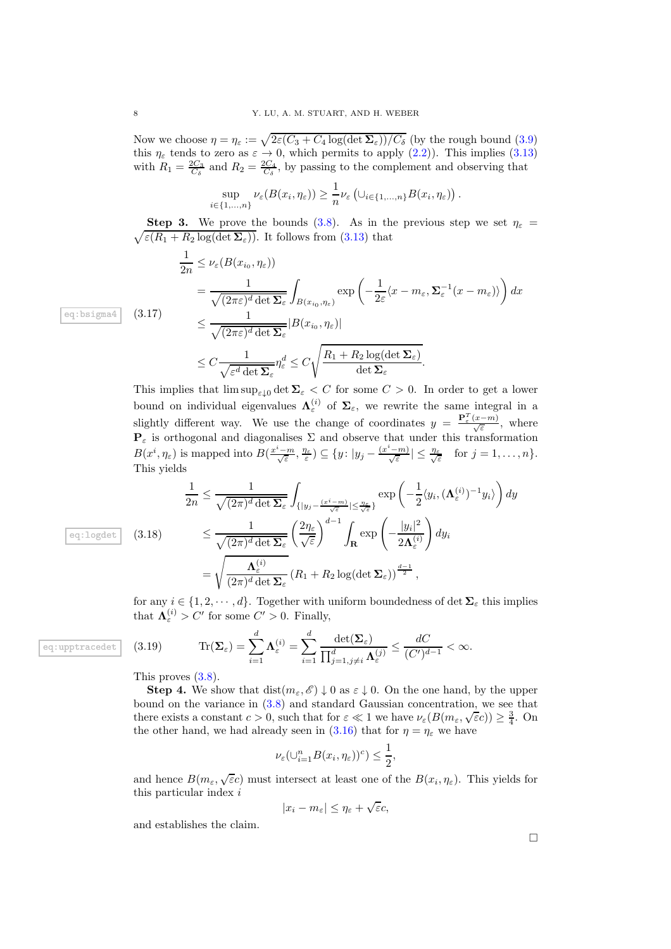Now we choose  $\eta = \eta_{\varepsilon} := \sqrt{2\varepsilon (C_3 + C_4 \log(\det \Sigma_{\varepsilon}))/C_{\delta}}$  (by the rough bound [\(3.9\)](#page-5-2) this  $\eta_{\varepsilon}$  tends to zero as  $\varepsilon \to 0$ , which permits to apply [\(2.2\)](#page-2-4)). This implies [\(3.13\)](#page-6-3) with  $R_1 = \frac{2C_3}{C_\delta}$  and  $R_2 = \frac{2C_4}{C_\delta}$ , by passing to the complement and observing that

$$
\sup_{i\in\{1,\ldots,n\}}\nu_{\varepsilon}(B(x_i,\eta_{\varepsilon}))\geq \frac{1}{n}\nu_{\varepsilon}\left(\cup_{i\in\{1,\ldots,n\}}B(x_i,\eta_{\varepsilon})\right).
$$

 $\sqrt{\varepsilon(R_1+R_2\log(\det\mathbf{\Sigma}_{\varepsilon}))}$ . It follows from [\(3.13\)](#page-6-3) that **Step 3.** We prove the bounds [\(3.8\)](#page-5-3). As in the previous step we set  $\eta_{\varepsilon}$  =

$$
\frac{1}{2n} \leq \nu_{\varepsilon}(B(x_{i_0}, \eta_{\varepsilon}))
$$
\n
$$
= \frac{1}{\sqrt{(2\pi\varepsilon)^d \det \Sigma_{\varepsilon}}} \int_{B(x_{i_0}, \eta_{\varepsilon})} \exp\left(-\frac{1}{2\varepsilon}\langle x - m_{\varepsilon}, \Sigma_{\varepsilon}^{-1}(x - m_{\varepsilon})\rangle\right) dx
$$
\n
$$
\leq \frac{1}{\sqrt{(2\pi\varepsilon)^d \det \Sigma_{\varepsilon}}} |B(x_{i_0}, \eta_{\varepsilon})|
$$
\n
$$
\leq C \frac{1}{\sqrt{\varepsilon^d \det \Sigma_{\varepsilon}}} \eta_{\varepsilon}^d \leq C \sqrt{\frac{R_1 + R_2 \log(\det \Sigma_{\varepsilon})}{\det \Sigma_{\varepsilon}}}.
$$

This implies that  $\limsup_{\varepsilon \downarrow 0} \det \Sigma_{\varepsilon} < C$  for some  $C > 0$ . In order to get a lower bound on individual eigenvalues  $\Lambda_{\varepsilon}^{(i)}$  of  $\Sigma_{\varepsilon}$ , we rewrite the same integral in a slightly different way. We use the change of coordinates  $y = \frac{\mathbf{P}_{\varepsilon}^T(x-m)}{\sqrt{\varepsilon}}$ , where  $\mathbf{P}_{\varepsilon}$  is orthogonal and diagonalises  $\Sigma$  and observe that under this transformation  $B(x^i, \eta_{\varepsilon})$  is mapped into  $B(\frac{x^i - m}{\sqrt{\varepsilon}}, \frac{\eta_{\varepsilon}}{\varepsilon}) \subseteq \{y : |y_j - \frac{(x^i - m)}{\sqrt{\varepsilon}}| \leq \frac{\eta_{\varepsilon}}{\sqrt{\varepsilon}} \text{ for } j = 1, \ldots, n\}.$ This yields

$$
\frac{1}{2n} \leq \frac{1}{\sqrt{(2\pi)^d \det \Sigma_{\varepsilon}}} \int_{\{|y_j - \frac{(x^i - m)}{\sqrt{\varepsilon}}| \leq \frac{\eta_{\varepsilon}}{\sqrt{\varepsilon}}\}} \exp\left(-\frac{1}{2} \langle y_i, (\mathbf{\Lambda}_{\varepsilon}^{(i)})^{-1} y_i \rangle\right) dy
$$
  

$$
\leq \frac{1}{\sqrt{(2\pi)^d \det \Sigma_{\varepsilon}}} \left(\frac{2\eta_{\varepsilon}}{\sqrt{\varepsilon}}\right)^{d-1} \int_{\mathbf{R}} \exp\left(-\frac{|y_i|^2}{2\mathbf{\Lambda}_{\varepsilon}^{(i)}}\right) dy_i
$$
  

$$
= \sqrt{\frac{\mathbf{\Lambda}_{\varepsilon}^{(i)}}{(2\pi)^d \det \Sigma_{\varepsilon}}} (R_1 + R_2 \log(\det \Sigma_{\varepsilon}))^{\frac{d-1}{2}},
$$

eq:logdet  $(3.18)$ 

for any  $i \in \{1, 2, \dots, d\}$ . Together with uniform boundedness of det  $\Sigma_{\varepsilon}$  this implies that  $\mathbf{\Lambda}_{\varepsilon}^{(i)} > C'$  for some  $C' > 0$ . Finally,

(3.19) 
$$
\text{Tr}(\mathbf{\Sigma}_{\varepsilon}) = \sum_{i=1}^{d} \mathbf{\Lambda}_{\varepsilon}^{(i)} = \sum_{i=1}^{d} \frac{\det(\mathbf{\Sigma}_{\varepsilon})}{\prod_{j=1, j\neq i}^{d} \mathbf{\Lambda}_{\varepsilon}^{(j)}} \leq \frac{dC}{(C')^{d-1}} < \infty.
$$

This proves  $(3.8)$ .

**Step 4.** We show that  $dist(m_{\varepsilon}, \mathscr{E}) \downarrow 0$  as  $\varepsilon \downarrow 0$ . On the one hand, by the upper bound on the variance in [\(3.8\)](#page-5-3) and standard Gaussian concentration, we see that there exists a constant  $c > 0$ , such that for  $\varepsilon \ll 1$  we have  $\nu_{\varepsilon}(B(m_{\varepsilon}, \sqrt{\varepsilon}c)) \geq \frac{3}{4}$ . On the other hand, we had already seen in [\(3.16\)](#page-6-4) that for  $\eta = \eta_{\varepsilon}$  we have

$$
\nu_{\varepsilon}(\cup_{i=1}^n B(x_i,\eta_{\varepsilon}))^c) \leq \frac{1}{2},
$$

and hence  $B(m_\varepsilon, \sqrt{\varepsilon}c)$  must intersect at least one of the  $B(x_i, \eta_{\varepsilon})$ . This yields for this particular index i

$$
|x_i - m_{\varepsilon}| \leq \eta_{\varepsilon} + \sqrt{\varepsilon}c,
$$

and establishes the claim.

 $\Box$ 

eq:upptracedet

eq:bsigma $4 \mid (3.17)$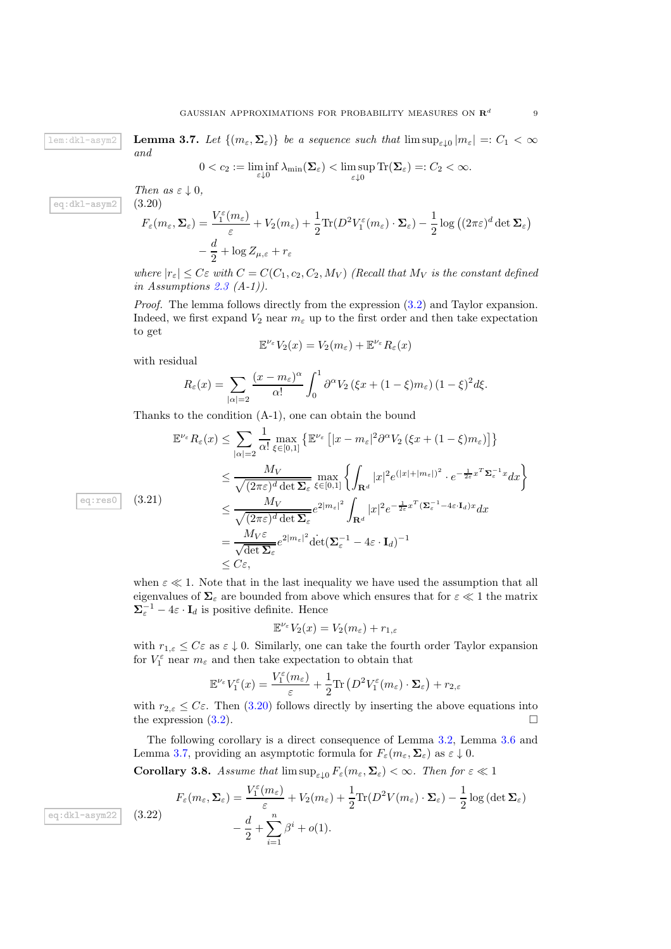${\tt lem:dkl-asym2}$   $\vert$   $\vert$   ${\bf L}$ 

eq:dkl-asym2

<span id="page-8-1"></span>**emma 3.7.** Let 
$$
\{(m_{\varepsilon}, \Sigma_{\varepsilon})\}
$$
 be a sequence such that  $\limsup_{\varepsilon \downarrow 0} |m_{\varepsilon}| =: C_1 < \infty$ 

$$
0 < c_2 := \liminf_{\varepsilon \downarrow 0} \lambda_{\min}(\mathbf{\Sigma}_{\varepsilon}) < \limsup_{\varepsilon \downarrow 0} \text{Tr}(\mathbf{\Sigma}_{\varepsilon}) =: C_2 < \infty.
$$

*Then as*  $\varepsilon \downarrow 0$ , (3.20)

*and*

<span id="page-8-0"></span>
$$
F_{\varepsilon}(m_{\varepsilon}, \Sigma_{\varepsilon}) = \frac{V_{1}^{\varepsilon}(m_{\varepsilon})}{\varepsilon} + V_{2}(m_{\varepsilon}) + \frac{1}{2} \text{Tr}(D^{2} V_{1}^{\varepsilon}(m_{\varepsilon}) \cdot \Sigma_{\varepsilon}) - \frac{1}{2} \log ((2\pi \varepsilon)^{d} \det \Sigma_{\varepsilon})
$$

$$
-\frac{d}{2} + \log Z_{\mu, \varepsilon} + r_{\varepsilon}
$$

*where*  $|r_{\varepsilon}| \leq C \varepsilon$  *with*  $C = C(C_1, c_2, C_2, M_V)$  *(Recall that*  $M_V$  *is the constant defined in Assumptions [2.3](#page-2-2) (A-1)).*

*Proof.* The lemma follows directly from the expression [\(3.2\)](#page-3-3) and Taylor expansion. Indeed, we first expand  $V_2$  near  $m_\varepsilon$  up to the first order and then take expectation to get

$$
\mathbb{E}^{\nu_{\varepsilon}}V_2(x) = V_2(m_{\varepsilon}) + \mathbb{E}^{\nu_{\varepsilon}}R_{\varepsilon}(x)
$$

with residual

$$
R_{\varepsilon}(x) = \sum_{|\alpha|=2} \frac{(x - m_{\varepsilon})^{\alpha}}{\alpha!} \int_0^1 \partial^{\alpha} V_2 (\xi x + (1 - \xi) m_{\varepsilon}) (1 - \xi)^2 d\xi.
$$

Thanks to the condition (A-1), one can obtain the bound

$$
\mathbb{E}^{\nu_{\varepsilon}} R_{\varepsilon}(x) \leq \sum_{|\alpha|=2} \frac{1}{\alpha!} \max_{\xi \in [0,1]} \left\{ \mathbb{E}^{\nu_{\varepsilon}} \left[ |x - m_{\varepsilon}|^2 \partial^{\alpha} V_2 \left( \xi x + (1 - \xi) m_{\varepsilon} \right) \right] \right\}
$$
\n
$$
\leq \frac{M_V}{\sqrt{(2\pi\varepsilon)^d \det \Sigma_{\varepsilon}}} \max_{\xi \in [0,1]} \left\{ \int_{\mathbf{R}^d} |x|^2 e^{(|x| + |m_{\varepsilon}|)^2} \cdot e^{-\frac{1}{2\varepsilon} x^T \Sigma_{\varepsilon}^{-1} x} dx \right\}
$$
\n(3.21)\n
$$
\leq \frac{M_V}{\sqrt{(2\pi\varepsilon)^d \det \Sigma_{\varepsilon}}} e^{2|m_{\varepsilon}|^2} \int_{\mathbf{R}^d} |x|^2 e^{-\frac{1}{2\varepsilon} x^T (\Sigma_{\varepsilon}^{-1} - 4\varepsilon \cdot I_d) x} dx
$$
\n
$$
= \frac{M_V \varepsilon}{\sqrt{\det \Sigma_{\varepsilon}}} e^{2|m_{\varepsilon}|^2} \det (\Sigma_{\varepsilon}^{-1} - 4\varepsilon \cdot I_d)^{-1}
$$
\n
$$
\leq C\varepsilon,
$$

when  $\varepsilon \ll 1$ . Note that in the last inequality we have used the assumption that all eigenvalues of  $\Sigma_{\varepsilon}$  are bounded from above which ensures that for  $\varepsilon \ll 1$  the matrix  $\mathbf{\Sigma}_{\varepsilon}^{-1} - 4\varepsilon \cdot \mathbf{I}_d$  is positive definite. Hence

$$
\mathbb{E}^{\nu_{\varepsilon}}V_2(x) = V_2(m_{\varepsilon}) + r_{1,\varepsilon}
$$

with  $r_{1,\varepsilon} \leq C\varepsilon$  as  $\varepsilon \downarrow 0$ . Similarly, one can take the fourth order Taylor expansion for  $V_1^{\varepsilon}$  near  $m_{\varepsilon}$  and then take expectation to obtain that

$$
\mathbb{E}^{\nu_{\varepsilon}}V_1^{\varepsilon}(x) = \frac{V_1^{\varepsilon}(m_{\varepsilon})}{\varepsilon} + \frac{1}{2}\text{Tr}\left(D^2V_1^{\varepsilon}(m_{\varepsilon})\cdot\mathbf{\Sigma}_{\varepsilon}\right) + r_{2,\varepsilon}
$$

with  $r_{2,\varepsilon} \leq C\varepsilon$ . Then [\(3.20\)](#page-8-0) follows directly by inserting the above equations into the expression (3.2). the expression  $(3.2)$ .

The following corollary is a direct consequence of Lemma [3.2,](#page-4-0) Lemma [3.6](#page-5-4) and Lemma [3.7,](#page-8-1) providing an asymptotic formula for  $F_{\varepsilon}(m_{\varepsilon}, \Sigma_{\varepsilon})$  as  $\varepsilon \downarrow 0$ .

**Corollary 3.8.** *Assume that*  $\limsup_{\varepsilon \downarrow 0} F_{\varepsilon}(m_{\varepsilon}, \Sigma_{\varepsilon}) < \infty$ *. Then for*  $\varepsilon \ll 1$ 

<span id="page-8-2"></span>
$$
F_{\varepsilon}(m_{\varepsilon}, \Sigma_{\varepsilon}) = \frac{V_1^{\varepsilon}(m_{\varepsilon})}{\varepsilon} + V_2(m_{\varepsilon}) + \frac{1}{2} \text{Tr}(D^2 V(m_{\varepsilon}) \cdot \Sigma_{\varepsilon}) - \frac{1}{2} \log \left( \det \Sigma_{\varepsilon} \right) - \frac{d}{2} + \sum_{i=1}^n \beta^i + o(1).
$$

eq:res0

eq:dkl-asym $22 \mid (3.22)$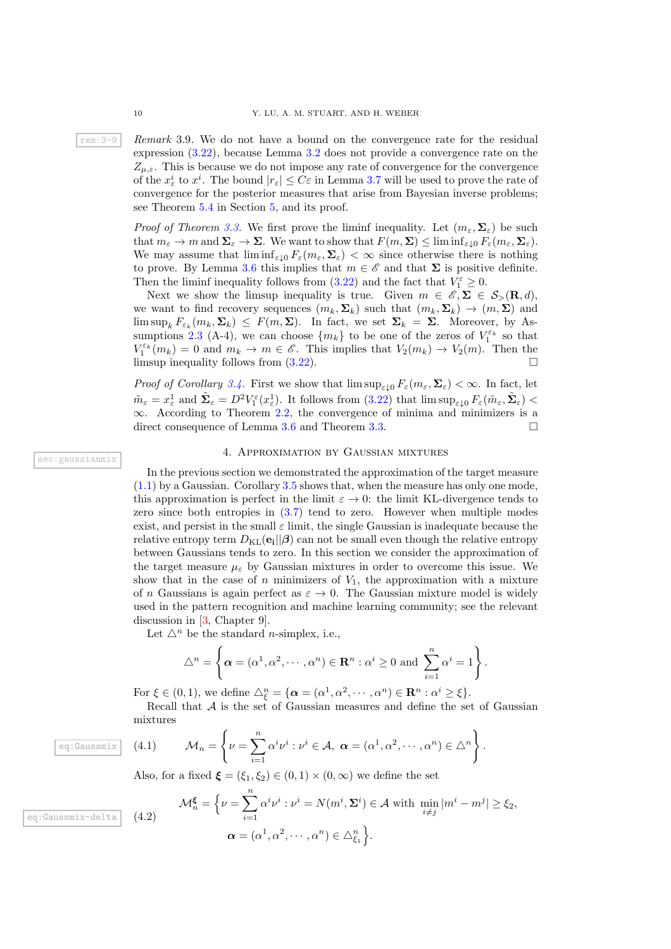rem:3-9 *Remark* 3.9*.* We do not have a bound on the convergence rate for the residual expression [\(3.22\)](#page-8-2), because Lemma [3.2](#page-4-0) does not provide a convergence rate on the  $Z_{\mu,\varepsilon}$ . This is because we do not impose any rate of convergence for the convergence of the  $x^i_\varepsilon$  to  $x^i$ . The bound  $|r_\varepsilon| \leq C\varepsilon$  in Lemma [3.7](#page-8-1) will be used to prove the rate of convergence for the posterior measures that arise from Bayesian inverse problems; see Theorem [5.4](#page-18-0) in Section [5,](#page-14-0) and its proof.

> *Proof of Theorem [3.3.](#page-4-1)* We first prove the liminf inequality. Let  $(m_\varepsilon, \Sigma_\varepsilon)$  be such that  $m_{\varepsilon} \to m$  and  $\Sigma_{\varepsilon} \to \Sigma$ . We want to show that  $F(m, \Sigma) \leq \liminf_{\varepsilon \downarrow 0} F_{\varepsilon}(m_{\varepsilon}, \Sigma_{\varepsilon})$ . We may assume that  $\liminf_{\varepsilon\downarrow 0} F_{\varepsilon}(m_{\varepsilon},\Sigma_{\varepsilon}) < \infty$  since otherwise there is nothing to prove. By Lemma [3.6](#page-5-4) this implies that  $m \in \mathscr{E}$  and that  $\Sigma$  is positive definite. Then the liminf inequality follows from [\(3.22\)](#page-8-2) and the fact that  $V_1^{\varepsilon} \geq 0$ .

> Next we show the limsup inequality is true. Given  $m \in \mathscr{E}, \Sigma \in \mathcal{S}_{>}(\mathbf{R}, d)$ , we want to find recovery sequences  $(m_k, \Sigma_k)$  such that  $(m_k, \Sigma_k) \rightarrow (m, \Sigma)$  and  $\limsup_k F_{\varepsilon_k}(m_k, \Sigma_k) \leq F(m, \Sigma)$ . In fact, we set  $\Sigma_k = \Sigma$ . Moreover, by As-sumptions [2.3](#page-2-2) (A-4), we can choose  $\{m_k\}$  to be one of the zeros of  $V_1^{\varepsilon_k}$  so that  $V_1^{\varepsilon_k}(m_k) = 0$  and  $m_k \to m \in \mathscr{E}$ . This implies that  $V_2(m_k) \to V_2(m)$ . Then the limsup inequality follows from  $(3.22)$ .

> *Proof of Corollary [3.4.](#page-4-2)* First we show that  $\limsup_{\varepsilon\downarrow 0} F_{\varepsilon}(m_{\varepsilon}, \Sigma_{\varepsilon}) < \infty$ . In fact, let  $\tilde{m}_{\varepsilon} = x_{\varepsilon}^1$  and  $\tilde{\Sigma}_{\varepsilon} = D^2 V_1^{\varepsilon}(x_{\varepsilon}^1)$ . It follows from  $(3.22)$  that  $\limsup_{\varepsilon \downarrow 0} F_{\varepsilon}(\tilde{m}_{\varepsilon}, \tilde{\Sigma}_{\varepsilon})$  $\infty$ . According to Theorem [2.2,](#page-2-5) the convergence of minima and minimizers is a direct consequence of Lemma 3.6 and Theorem 3.3. direct consequence of Lemma [3.6](#page-5-4) and Theorem [3.3.](#page-4-1)

#### 4. Approximation by Gaussian mixtures

<span id="page-9-0"></span>In the previous section we demonstrated the approximation of the target measure [\(1.1\)](#page-1-0) by a Gaussian. Corollary [3.5](#page-5-1) shows that, when the measure has only one mode, this approximation is perfect in the limit  $\varepsilon \to 0$ : the limit KL-divergence tends to zero since both entropies in [\(3.7\)](#page-5-5) tend to zero. However when multiple modes exist, and persist in the small  $\varepsilon$  limit, the single Gaussian is inadequate because the relative entropy term  $D_{\text{KL}}(\mathbf{e_i}||\boldsymbol{\beta})$  can not be small even though the relative entropy between Gaussians tends to zero. In this section we consider the approximation of the target measure  $\mu_{\varepsilon}$  by Gaussian mixtures in order to overcome this issue. We show that in the case of n minimizers of  $V_1$ , the approximation with a mixture of n Gaussians is again perfect as  $\varepsilon \to 0$ . The Gaussian mixture model is widely used in the pattern recognition and machine learning community; see the relevant discussion in [\[3,](#page-22-0) Chapter 9].

Let  $\Delta^n$  be the standard *n*-simplex, i.e.,

$$
\triangle^{n} = \left\{\boldsymbol{\alpha} = (\alpha^{1}, \alpha^{2}, \cdots, \alpha^{n}) \in \mathbf{R}^{n} : \alpha^{i} \geq 0 \text{ and } \sum_{i=1}^{n} \alpha^{i} = 1\right\}.
$$

For  $\xi \in (0,1)$ , we define  $\Delta_{\xi}^{n} = {\alpha = (\alpha^{1}, \alpha^{2}, \cdots, \alpha^{n}) \in \mathbb{R}^{n} : \alpha^{i} \geq \xi}.$ 

Recall that  $A$  is the set of Gaussian measures and define the set of Gaussian mixtures

<span id="page-9-2"></span>1) 
$$
\mathcal{M}_n = \left\{ \nu = \sum_{i=1}^n \alpha^i \nu^i : \nu^i \in \mathcal{A}, \ \boldsymbol{\alpha} = (\alpha^1, \alpha^2, \cdots, \alpha^n) \in \Delta^n \right\}.
$$

<span id="page-9-3"></span>Also, for a fixed  $\xi = (\xi_1, \xi_2) \in (0, 1) \times (0, \infty)$  we define the set

(4.2) 
$$
\mathcal{M}_n^{\xi} = \left\{ \nu = \sum_{i=1}^n \alpha^i \nu^i : \nu^i = N(m^i, \Sigma^i) \in \mathcal{A} \text{ with } \min_{i \neq j} |m^i - m^j| \ge \xi_2, \alpha = (\alpha^1, \alpha^2, \dots, \alpha^n) \in \Delta_{\xi_1}^n \right\}.
$$

eq:Gaussmix  $(4.1)$ 

eq:Gaussmix-del

sec:gaussianmix

<span id="page-9-1"></span>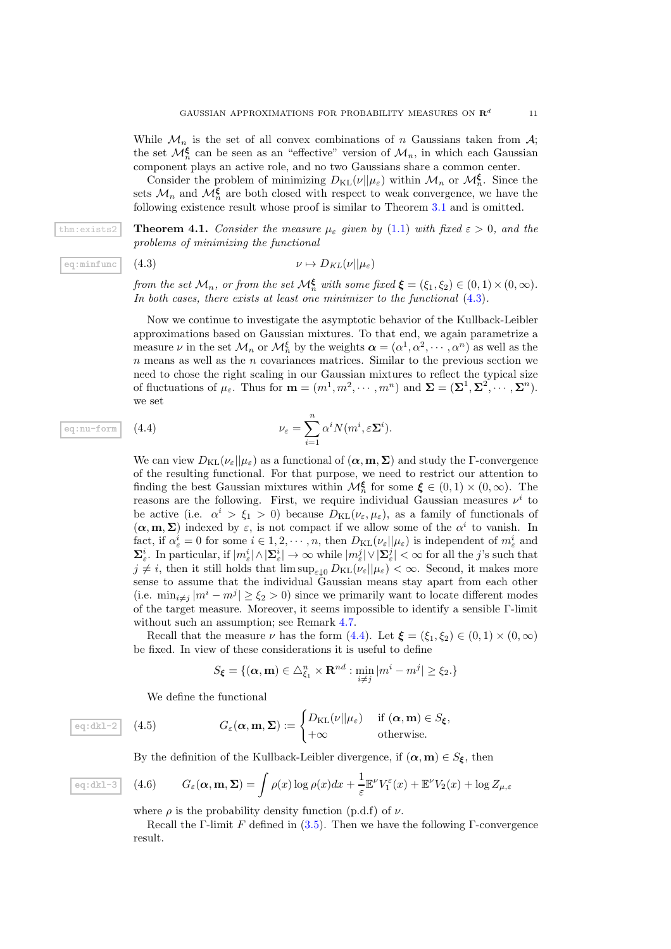While  $\mathcal{M}_n$  is the set of all convex combinations of n Gaussians taken from  $\mathcal{A}$ ; the set  $\mathcal{M}_n^{\xi}$  can be seen as an "effective" version of  $\mathcal{M}_n$ , in which each Gaussian component plays an active role, and no two Gaussians share a common center.

Consider the problem of minimizing  $D_{KL}(\nu||\mu_{\varepsilon})$  within  $\mathcal{M}_n$  or  $\mathcal{M}_n^{\xi}$ . Since the sets  $\mathcal{M}_n$  and  $\mathcal{M}_n^{\xi}$  are both closed with respect to weak convergence, we have the following existence result whose proof is similar to Theorem [3.1](#page-3-4) and is omitted.

thm:exists2 **Theorem 4.1.** *Consider the measure*  $\mu_{\varepsilon}$  *given by* [\(1.1\)](#page-1-0) *with fixed*  $\varepsilon > 0$ *, and the problems of minimizing the functional*

eq:minfunc (4.3) 
$$
\nu \mapsto D_{KL}(\nu||\mu_{\varepsilon})
$$

*from the set*  $\mathcal{M}_n$ , *or from the set*  $\mathcal{M}_n^{\xi}$  *with some fixed*  $\xi = (\xi_1, \xi_2) \in (0, 1) \times (0, \infty)$ *. In both cases, there exists at least one minimizer to the functional* [\(4.3\)](#page-10-0)*.*

Now we continue to investigate the asymptotic behavior of the Kullback-Leibler approximations based on Gaussian mixtures. To that end, we again parametrize a measure  $\nu$  in the set  $\mathcal{M}_n$  or  $\mathcal{M}_n^{\xi}$  by the weights  $\alpha = (\alpha^1, \alpha^2, \dots, \alpha^n)$  as well as the  $n$  means as well as the  $n$  covariances matrices. Similar to the previous section we need to chose the right scaling in our Gaussian mixtures to reflect the typical size of fluctuations of  $\mu_{\varepsilon}$ . Thus for  $\mathbf{m} = (m^1, m^2, \dots, m^n)$  and  $\mathbf{\Sigma} = (\mathbf{\Sigma}^1, \mathbf{\Sigma}^2, \dots, \mathbf{\Sigma}^n)$ . we set

<span id="page-10-1"></span><span id="page-10-0"></span>
$$
\nu_{\varepsilon} = \sum_{i=1}^{n} \alpha^{i} N(m^{i}, \varepsilon \Sigma^{i}).
$$

We can view  $D_{\text{KL}}(\nu_{\varepsilon}||\mu_{\varepsilon})$  as a functional of  $(\alpha, m, \Sigma)$  and study the Γ-convergence of the resulting functional. For that purpose, we need to restrict our attention to finding the best Gaussian mixtures within  $\mathcal{M}_n^{\xi}$  for some  $\xi \in (0,1) \times (0,\infty)$ . The reasons are the following. First, we require individual Gaussian measures  $\nu^i$  to be active (i.e.  $\alpha^i > \xi_1 > 0$ ) because  $D_{\text{KL}}(\nu_{\varepsilon}, \mu_{\varepsilon})$ , as a family of functionals of  $(\alpha, m, \Sigma)$  indexed by  $\varepsilon$ , is not compact if we allow some of the  $\alpha^i$  to vanish. In fact, if  $\alpha_{\varepsilon}^{i} = 0$  for some  $i \in 1, 2, \dots, n$ , then  $D_{\text{KL}}(\nu_{\varepsilon}||\mu_{\varepsilon})$  is independent of  $m_{\varepsilon}^{i}$  and  $\sum_{\varepsilon}^i$ . In particular, if  $|m_{\varepsilon}^i| \wedge |\Sigma_{\varepsilon}^i| \to \infty$  while  $|m_{\varepsilon}^j| \vee |\Sigma_{\varepsilon}^j| < \infty$  for all the j's such that  $j \neq i$ , then it still holds that  $\limsup_{\varepsilon \downarrow 0} D_{\text{KL}}(\nu_{\varepsilon}||\mu_{\varepsilon}) < \infty$ . Second, it makes more sense to assume that the individual Gaussian means stay apart from each other (i.e.  $\min_{i \neq j} |m^i - m^j| \geq \xi_2 > 0$ ) since we primarily want to locate different modes of the target measure. Moreover, it seems impossible to identify a sensible Γ-limit without such an assumption; see Remark [4.7.](#page-14-1)

Recall that the measure  $\nu$  has the form [\(4.4\)](#page-10-1). Let  $\boldsymbol{\xi} = (\xi_1, \xi_2) \in (0, 1) \times (0, \infty)$ be fixed. In view of these considerations it is useful to define

<span id="page-10-2"></span>
$$
S_{\xi} = \{(\boldsymbol{\alpha}, \mathbf{m}) \in \triangle_{\xi_1}^n \times \mathbf{R}^{nd} : \min_{i \neq j} |m^i - m^j| \ge \xi_2.\}
$$

We define the functional

$$
\overline{e_{\mathfrak{q}}:\mathrm{d}\mathrm{d}\mathrm{d}^{-2}}\qquad(4.5)\qquad G_{\varepsilon}(\boldsymbol{\alpha},\mathbf{m},\boldsymbol{\Sigma}):=\begin{cases} D_{\mathrm{KL}}(\nu||\mu_{\varepsilon}) & \text{if }(\boldsymbol{\alpha},\mathbf{m})\in S_{\xi},\\ +\infty & \text{otherwise.} \end{cases}
$$

By the definition of the Kullback-Leibler divergence, if  $(\alpha, m) \in S_{\xi}$ , then

<span id="page-10-3"></span>(4.6) 
$$
G_{\varepsilon}(\boldsymbol{\alpha},\mathbf{m},\boldsymbol{\Sigma})=\int \rho(x)\log\rho(x)dx+\frac{1}{\varepsilon}\mathbb{E}^{\nu}V_1^{\varepsilon}(x)+\mathbb{E}^{\nu}V_2(x)+\log Z_{\mu,\varepsilon}
$$

where  $\rho$  is the probability density function (p.d.f) of  $\nu$ .

Recall the Γ-limit F defined in  $(3.5)$ . Then we have the following Γ-convergence result.

eq:nu-form  $(4.4)$ 

 $eq:dkl-3$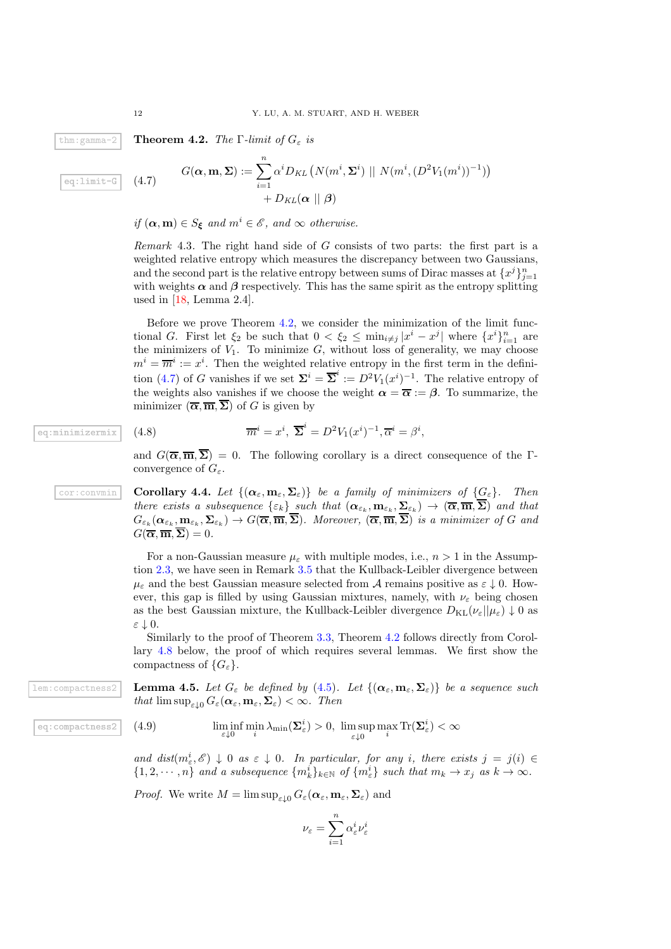thm:gamma-2 **Theorem 4.2.** *The*  $\Gamma$ *-limit of*  $G_{\varepsilon}$  *is* 

$$
eq:limit-G
$$

<span id="page-11-1"></span>
$$
G(\boldsymbol{\alpha}, \mathbf{m}, \boldsymbol{\Sigma}) := \sum_{i=1}^{n} \alpha^{i} D_{KL} \left( N(m^{i}, \boldsymbol{\Sigma}^{i}) \mid N(m^{i}, (D^{2}V_{1}(m^{i}))^{-1}) \right) + D_{KL}(\boldsymbol{\alpha} \mid \mid \boldsymbol{\beta})
$$

*if*  $(\alpha, m) \in S_{\xi}$  *and*  $m^{i} \in \mathcal{E}$ *, and*  $\infty$  *otherwise.* 

*Remark* 4.3*.* The right hand side of G consists of two parts: the first part is a weighted relative entropy which measures the discrepancy between two Gaussians, and the second part is the relative entropy between sums of Dirac masses at  $\{x^j\}_{j=1}^n$ with weights  $\alpha$  and  $\beta$  respectively. This has the same spirit as the entropy splitting used in [\[18,](#page-22-10) Lemma 2.4].

Before we prove Theorem [4.2,](#page-11-0) we consider the minimization of the limit functional G. First let  $\xi_2$  be such that  $0 < \xi_2 \le \min_{i \ne j} |x^i - x^j|$  where  $\{x^i\}_{i=1}^n$  are the minimizers of  $V_1$ . To minimize  $G$ , without loss of generality, we may choose  $m^i = \overline{m}^i := x^i$ . Then the weighted relative entropy in the first term in the defini-tion [\(4.7\)](#page-11-1) of G vanishes if we set  $\Sigma^i = \overline{\Sigma}^i := D^2 V_1(x^i)^{-1}$ . The relative entropy of the weights also vanishes if we choose the weight  $\alpha = \overline{\alpha} := \beta$ . To summarize, the minimizer  $(\overline{\alpha}, \overline{\mathbf{m}}, \overline{\boldsymbol{\Sigma}})$  of G is given by

$$
\overline{m}^i = x^i, \ \overline{\Sigma}^i = D^2 V_1(x^i)^{-1}, \overline{\alpha}^i = \beta^i
$$

<span id="page-11-4"></span>and  $G(\bar{\alpha}, \bar{m}, \bar{\Sigma}) = 0$ . The following corollary is a direct consequence of the Γconvergence of  $G_{\varepsilon}$ .

,

cor:convmin **Corollary 4.4.** Let  $\{(\boldsymbol{\alpha}_{\varepsilon}, \mathbf{m}_{\varepsilon}, \boldsymbol{\Sigma}_{\varepsilon})\}$  be a family of minimizers of  $\{G_{\varepsilon}\}\$ . Then *there exists a subsequence*  $\{\varepsilon_k\}$  *such that*  $(\boldsymbol{\alpha}_{\varepsilon_k}, \mathbf{m}_{\varepsilon_k}, \boldsymbol{\Sigma}_{\varepsilon_k}) \to (\boldsymbol{\overline{\alpha}}, \boldsymbol{\overline{m}}, \boldsymbol{\overline{\Sigma}})$  *and that*  $G_{\varepsilon_k}(\boldsymbol{\alpha}_{\varepsilon_k}, {\bf m}_{\varepsilon_k}, \boldsymbol{\Sigma}_{\varepsilon_k}) \to G(\overline{\boldsymbol{\alpha}}, \overline{\boldsymbol{\mathfrak{m}}}, \boldsymbol{\Sigma}).$  Moreover,  $(\overline{\boldsymbol{\alpha}}, \overline{\boldsymbol{\mathfrak{m}}}, \boldsymbol{\Sigma})$  is a minimizer of G and  $G(\overline{\alpha}, \overline{\mathbf{m}}, \overline{\Sigma}) = 0.$ 

> For a non-Gaussian measure  $\mu_{\varepsilon}$  with multiple modes, i.e.,  $n > 1$  in the Assumption [2.3,](#page-2-2) we have seen in Remark [3.5](#page-5-1) that the Kullback-Leibler divergence between  $\mu_{\varepsilon}$  and the best Gaussian measure selected from A remains positive as  $\varepsilon \downarrow 0$ . However, this gap is filled by using Gaussian mixtures, namely, with  $\nu_{\varepsilon}$  being chosen as the best Gaussian mixture, the Kullback-Leibler divergence  $D_{KL}(\nu_{\varepsilon}||\mu_{\varepsilon}) \downarrow 0$  as ε ↓ 0.

> <span id="page-11-3"></span>Similarly to the proof of Theorem [3.3,](#page-4-1) Theorem [4.2](#page-11-0) follows directly from Corollary [4.8](#page-14-2) below, the proof of which requires several lemmas. We first show the compactness of  $\{G_{\varepsilon}\}.$

lem:compactness2 **Lemma 4.5.** Let  $G_{\varepsilon}$  be defined by [\(4.5\)](#page-10-2). Let  $\{(\boldsymbol{\alpha}_{\varepsilon}, \mathbf{m}_{\varepsilon}, \boldsymbol{\Sigma}_{\varepsilon})\}$  be a sequence such *that*  $\limsup_{\varepsilon \downarrow 0} G_{\varepsilon}(\boldsymbol{\alpha}_{\varepsilon}, \mathbf{m}_{\varepsilon}, \boldsymbol{\Sigma}_{\varepsilon}) < \infty$ *. Then* 

<span id="page-11-2"></span>
$$
\liminf_{\varepsilon \downarrow 0} \min_i \lambda_{\min}(\boldsymbol{\Sigma}^i_\varepsilon) > 0, \ \limsup_{\varepsilon \downarrow 0} \max_i \text{Tr}(\boldsymbol{\Sigma}^i_\varepsilon) < \infty
$$

and  $dist(m_{\varepsilon}^i, \mathscr{E}) \downarrow 0$  *as*  $\varepsilon \downarrow 0$ *. In particular, for any i, there exists*  $j = j(i) \in$  $\{1, 2, \dots, n\}$  and a subsequence  $\{m_k^i\}_{k \in \mathbb{N}}$  of  $\{m_{\varepsilon}^i\}$  such that  $m_k \to x_j$  as  $k \to \infty$ .

*Proof.* We write  $M = \limsup_{\varepsilon \downarrow 0} G_{\varepsilon}(\boldsymbol{\alpha}_{\varepsilon}, \mathbf{m}_{\varepsilon}, \boldsymbol{\Sigma}_{\varepsilon})$  and

$$
\nu_\varepsilon = \sum_{i=1}^n \alpha_\varepsilon^i \nu_\varepsilon^i
$$

<span id="page-11-0"></span>

 $(4.7)$ 

eq:minimizermix  $(4.8)$ 

eq: compactness2  $(4.9)$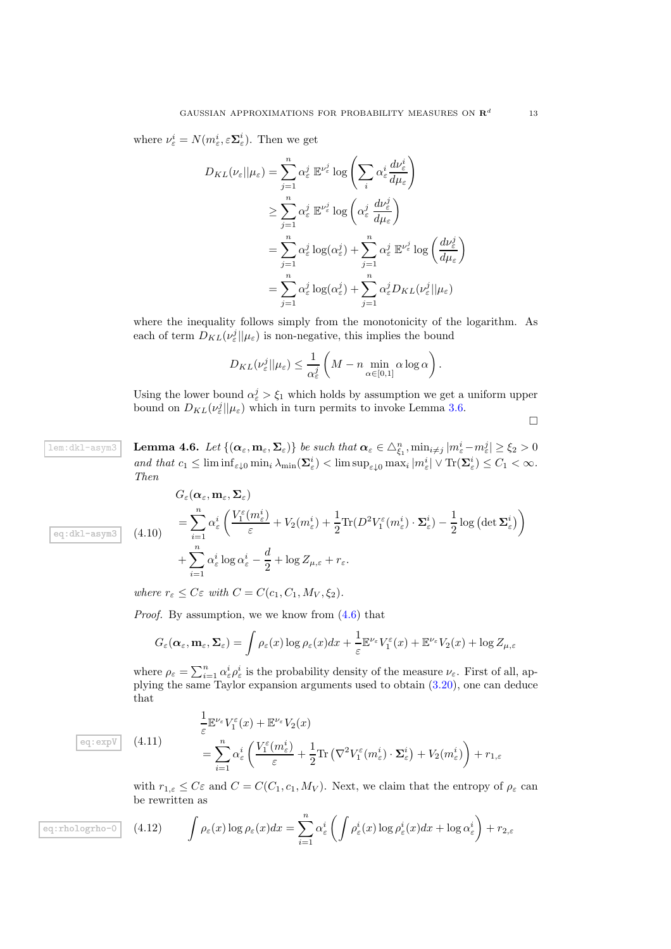where  $\nu_{\varepsilon}^i = N(m_{\varepsilon}^i, \varepsilon \Sigma_{\varepsilon}^i)$ . Then we get

$$
D_{KL}(\nu_{\varepsilon}||\mu_{\varepsilon}) = \sum_{j=1}^{n} \alpha_{\varepsilon}^{j} \mathbb{E}^{\nu_{\varepsilon}^{j}} \log \left( \sum_{i} \alpha_{\varepsilon}^{i} \frac{d\nu_{\varepsilon}^{i}}{d\mu_{\varepsilon}} \right)
$$
  
\n
$$
\geq \sum_{j=1}^{n} \alpha_{\varepsilon}^{j} \mathbb{E}^{\nu_{\varepsilon}^{j}} \log \left( \alpha_{\varepsilon}^{j} \frac{d\nu_{\varepsilon}^{j}}{d\mu_{\varepsilon}} \right)
$$
  
\n
$$
= \sum_{j=1}^{n} \alpha_{\varepsilon}^{j} \log(\alpha_{\varepsilon}^{j}) + \sum_{j=1}^{n} \alpha_{\varepsilon}^{j} \mathbb{E}^{\nu_{\varepsilon}^{j}} \log \left( \frac{d\nu_{\varepsilon}^{j}}{d\mu_{\varepsilon}} \right)
$$
  
\n
$$
= \sum_{j=1}^{n} \alpha_{\varepsilon}^{j} \log(\alpha_{\varepsilon}^{j}) + \sum_{j=1}^{n} \alpha_{\varepsilon}^{j} D_{KL}(\nu_{\varepsilon}^{j}||\mu_{\varepsilon})
$$

where the inequality follows simply from the monotonicity of the logarithm. As each of term  $D_{KL}(\nu_{\varepsilon}^j||\mu_{\varepsilon})$  is non-negative, this implies the bound

$$
D_{KL}(\nu_{\varepsilon}^j||\mu_{\varepsilon}) \leq \frac{1}{\alpha_{\varepsilon}^j} \left(M - n \min_{\alpha \in [0,1]} \alpha \log \alpha\right).
$$

<span id="page-12-3"></span>Using the lower bound  $\alpha_{\varepsilon}^j > \xi_1$  which holds by assumption we get a uniform upper bound on  $D_{KL}(\nu_{\varepsilon}^j||\mu_{\varepsilon})$  which in turn permits to invoke Lemma [3.6.](#page-5-4)

 $\Box$ 

 $\texttt{lem:dkl-asym3} \quad \textbf{Lemma 4.6.} \ \textit{Let} \ \{ (\boldsymbol{\alpha}_{\varepsilon}, \mathbf{m}_{\varepsilon}, \boldsymbol{\Sigma}_{\varepsilon}) \} \ be \ such \ that \ \boldsymbol{\alpha}_{\varepsilon} \in \triangle_{\xi_1}^n, \min_{i \neq j} |m_{\varepsilon}^i - m_{\varepsilon}^j| \geq \xi_2 > 0$ *and that*  $c_1 \leq \liminf_{\varepsilon \downarrow 0} \min_i \lambda_{\min}(\Sigma^i_{\varepsilon}) < \limsup_{\varepsilon \downarrow 0} \max_i |m^i_{\varepsilon}| \vee \text{Tr}(\Sigma^i_{\varepsilon}) \leq C_1 < \infty$ . *Then*

<span id="page-12-0"></span>
$$
G_{\varepsilon}(\alpha_{\varepsilon}, \mathbf{m}_{\varepsilon}, \mathbf{\Sigma}_{\varepsilon})
$$
  
= 
$$
\sum_{i=1}^{n} \alpha_{\varepsilon}^{i} \left( \frac{V_{1}^{\varepsilon}(m_{\varepsilon}^{i})}{\varepsilon} + V_{2}(m_{\varepsilon}^{i}) + \frac{1}{2} \text{Tr}(D^{2} V_{1}^{\varepsilon}(m_{\varepsilon}^{i}) \cdot \mathbf{\Sigma}_{\varepsilon}^{i}) - \frac{1}{2} \log (\det \mathbf{\Sigma}_{\varepsilon}^{i}) \right)
$$
  
+ 
$$
\sum_{i=1}^{n} \alpha_{\varepsilon}^{i} \log \alpha_{\varepsilon}^{i} - \frac{d}{2} + \log Z_{\mu, \varepsilon} + r_{\varepsilon}.
$$

*where*  $r_{\varepsilon} \leq C \varepsilon$  *with*  $C = C(c_1, C_1, M_V, \xi_2)$ .

*Proof.* By assumption, we we know from  $(4.6)$  that

$$
G_{\varepsilon}(\boldsymbol{\alpha}_{\varepsilon},\mathbf{m}_{\varepsilon},\boldsymbol{\Sigma}_{\varepsilon})=\int\rho_{\varepsilon}(x)\log\rho_{\varepsilon}(x)dx+\frac{1}{\varepsilon}\mathbb{E}^{\nu_{\varepsilon}}V_{1}^{\varepsilon}(x)+\mathbb{E}^{\nu_{\varepsilon}}V_{2}(x)+\log Z_{\mu,\varepsilon}
$$

where  $\rho_{\varepsilon} = \sum_{i=1}^{n} \alpha_{\varepsilon}^{i} \rho_{\varepsilon}^{i}$  is the probability density of the measure  $\nu_{\varepsilon}$ . First of all, applying the same Taylor expansion arguments used to obtain [\(3.20\)](#page-8-0), one can deduce that

<span id="page-12-1"></span>
$$
\frac{1}{\varepsilon} \mathbb{E}^{\nu_{\varepsilon}} V_{1}^{\varepsilon}(x) + \mathbb{E}^{\nu_{\varepsilon}} V_{2}(x)
$$
\n
$$
= \sum_{i=1}^{n} \alpha_{\varepsilon}^{i} \left( \frac{V_{1}^{\varepsilon}(m_{\varepsilon}^{i})}{\varepsilon} + \frac{1}{2} \text{Tr} \left( \nabla^{2} V_{1}^{\varepsilon}(m_{\varepsilon}^{i}) \cdot \Sigma_{\varepsilon}^{i} \right) + V_{2}(m_{\varepsilon}^{i}) \right) + r_{1,\varepsilon}
$$

<span id="page-12-2"></span>with  $r_{1,\varepsilon} \leq C\varepsilon$  and  $C = C(C_1, c_1, M_V)$ . Next, we claim that the entropy of  $\rho_{\varepsilon}$  can be rewritten as

eq:rhologrho-0 (4.12) 
$$
\int \rho_{\varepsilon}(x) \log \rho_{\varepsilon}(x) dx = \sum_{i=1}^{n} \alpha_{\varepsilon}^{i} \left( \int \rho_{\varepsilon}^{i}(x) \log \rho_{\varepsilon}^{i}(x) dx + \log \alpha_{\varepsilon}^{i} \right) + r_{2,\varepsilon}
$$

 $\overline{eq:expV}$  (4.11)

eq:dkl-asym3  $(4.10)$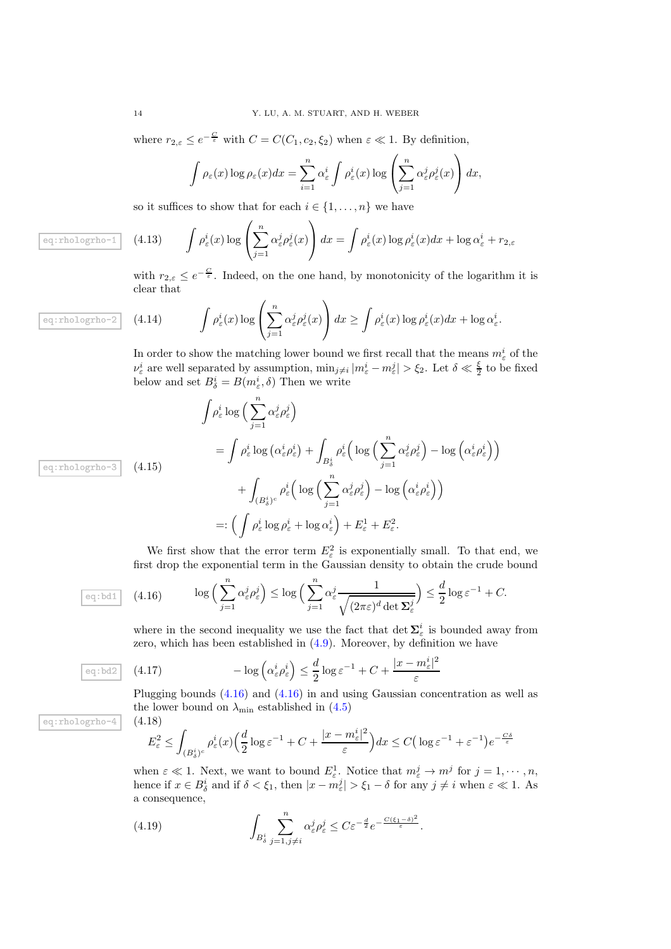where  $r_{2,\varepsilon} \leq e^{-\frac{C}{\varepsilon}}$  with  $C = C(C_1, c_2, \xi_2)$  when  $\varepsilon \ll 1$ . By definition,

$$
\int \rho_{\varepsilon}(x) \log \rho_{\varepsilon}(x) dx = \sum_{i=1}^{n} \alpha_{\varepsilon}^{i} \int \rho_{\varepsilon}^{i}(x) \log \left( \sum_{j=1}^{n} \alpha_{\varepsilon}^{j} \rho_{\varepsilon}^{j}(x) \right) dx,
$$

<span id="page-13-1"></span>so it suffices to show that for each  $i \in \{1, ..., n\}$  we have

$$
\boxed{\phantom{\mathbb{E}}\left[ (4.13) \right]} \qquad \int \rho_{\varepsilon}^{i}(x) \log \left( \sum_{j=1}^{n} \alpha_{\varepsilon}^{j} \rho_{\varepsilon}^{j}(x) \right) dx = \int \rho_{\varepsilon}^{i}(x) \log \rho_{\varepsilon}^{i}(x) dx + \log \alpha_{\varepsilon}^{i} + r_{2,\varepsilon}
$$

with  $r_{2,\varepsilon} \leq e^{-\frac{C}{\varepsilon}}$ . Indeed, on the one hand, by monotonicity of the logarithm it is clear that

$$
\text{h} \circ \text{h} \circ \text{h} \circ \text{h} \circ \text{h} \circ \text{h} \circ \text{h} \circ \text{h} \circ \text{h} \circ \text{h} \circ \text{h} \circ \text{h} \circ \text{h} \circ \text{h} \circ \text{h} \circ \text{h} \circ \text{h} \circ \text{h} \circ \text{h} \circ \text{h} \circ \text{h} \circ \text{h} \circ \text{h} \circ \text{h} \circ \text{h} \circ \text{h} \circ \text{h} \circ \text{h} \circ \text{h} \circ \text{h} \circ \text{h} \circ \text{h} \circ \text{h} \circ \text{h} \circ \text{h} \circ \text{h} \circ \text{h} \circ \text{h} \circ \text{h} \circ \text{h} \circ \text{h} \circ \text{h} \circ \text{h} \circ \text{h} \circ \text{h} \circ \text{h} \circ \text{h} \circ \text{h} \circ \text{h} \circ \text{h} \circ \text{h} \circ \text{h} \circ \text{h} \circ \text{h} \circ \text{h} \circ \text{h} \circ \text{h} \circ \text{h} \circ \text{h} \circ \text{h} \circ \text{h} \circ \text{h} \circ \text{h} \circ \text{h} \circ \text{h} \circ \text{h} \circ \text{h} \circ \text{h} \circ \text{h} \circ \text{h} \circ \text{h} \circ \text{h} \circ \text{h} \circ \text{h} \circ \text{h} \circ \text{h} \circ \text{h} \circ \text{h} \circ \text{h} \circ \text{h} \circ \text{h} \circ \text{h} \circ \text{h} \circ \text{h} \circ \text{h} \circ \text{h} \circ \text{h} \circ \text{h} \circ \text{h} \circ \text{h} \circ \text{h} \circ \text{h} \circ \text{h} \circ \text{h} \circ \text{h} \circ \text{h} \circ \text{h} \circ \text{h} \circ \text{h} \circ \text{h} \circ \text{h} \circ \text{h} \circ \text{h} \circ \text{h} \circ \text{h} \circ \text{h} \circ \text{h} \circ \text{h} \circ \text{h
$$

<span id="page-13-2"></span>In order to show the matching lower bound we first recall that the means  $m_{\varepsilon}^i$  of the  $\nu_{\varepsilon}^{i}$  are well separated by assumption,  $\min_{j\neq i}|m_{\varepsilon}^{i}-m_{\varepsilon}^{j}| > \xi_{2}$ . Let  $\delta \ll \frac{\xi}{2}$  to be fixed below and set  $B_{\delta}^{i} = B(m_{\varepsilon}^{i}, \delta)$  Then we write

$$
\int \rho_{\varepsilon}^{i} \log \left( \sum_{j=1}^{n} \alpha_{\varepsilon}^{j} \rho_{\varepsilon}^{j} \right)
$$
\n
$$
= \int \rho_{\varepsilon}^{i} \log \left( \alpha_{\varepsilon}^{i} \rho_{\varepsilon}^{i} \right) + \int_{B_{\delta}^{i}} \rho_{\varepsilon}^{i} \left( \log \left( \sum_{j=1}^{n} \alpha_{\varepsilon}^{j} \rho_{\varepsilon}^{j} \right) - \log \left( \alpha_{\varepsilon}^{i} \rho_{\varepsilon}^{i} \right) \right)
$$
\n
$$
+ \int_{\left( B_{\delta}^{i} \right)^{c}} \rho_{\varepsilon}^{i} \left( \log \left( \sum_{j=1}^{n} \alpha_{\varepsilon}^{j} \rho_{\varepsilon}^{j} \right) - \log \left( \alpha_{\varepsilon}^{i} \rho_{\varepsilon}^{i} \right) \right)
$$
\n
$$
=: \left( \int \rho_{\varepsilon}^{i} \log \rho_{\varepsilon}^{i} + \log \alpha_{\varepsilon}^{i} \right) + E_{\varepsilon}^{1} + E_{\varepsilon}^{2}.
$$

We first show that the error term  $E_{\varepsilon}^2$  is exponentially small. To that end, we first drop the exponential term in the Gaussian density to obtain the crude bound

eq: 
$$
\text{bd1}
$$
 (4.16)  $\log\left(\sum_{j=1}^{n} \alpha_{\varepsilon}^{j} \rho_{\varepsilon}^{j}\right) \le \log\left(\sum_{j=1}^{n} \alpha_{\varepsilon}^{j} \frac{1}{\sqrt{(2\pi\varepsilon)^{d} \det \Sigma_{\varepsilon}^{j}}}\right) \le \frac{d}{2} \log \varepsilon^{-1} + C.$ 

<span id="page-13-0"></span>where in the second inequality we use the fact that  $\det \Sigma_{\varepsilon}^{i}$  is bounded away from zero, which has been established in [\(4.9\)](#page-11-2). Moreover, by definition we have

(4.17) 
$$
-\log\left(\alpha_{\varepsilon}^{i} \rho_{\varepsilon}^{i}\right) \leq \frac{d}{2} \log \varepsilon^{-1} + C + \frac{|x - m_{\varepsilon}^{i}|^{2}}{\varepsilon}
$$

Plugging bounds [\(4.16\)](#page-13-0) and [\(4.16\)](#page-13-0) in and using Gaussian concentration as well as the lower bound on  $\lambda_{\min}$  established in [\(4.5\)](#page-11-3) eq: $rho$ -4  $(4.18)$ 

$$
E_{\varepsilon}^{2} \leq \int_{(B_{\delta}^{i})^{c}} \rho_{\varepsilon}^{i}(x) \left(\frac{d}{2} \log \varepsilon^{-1} + C + \frac{|x - m_{\varepsilon}^{i}|^{2}}{\varepsilon}\right) dx \leq C \left( \log \varepsilon^{-1} + \varepsilon^{-1} \right) e^{-\frac{C\delta}{\varepsilon}}
$$

when  $\varepsilon \ll 1$ . Next, we want to bound  $E^1_{\varepsilon}$ . Notice that  $m_{\varepsilon}^j \to m^j$  for  $j = 1, \cdots, n$ , hence if  $x \in B^i_{\delta}$  and if  $\delta < \xi_1$ , then  $|x - m_{\varepsilon}^j| > \xi_1 - \delta$  for any  $j \neq i$  when  $\varepsilon \ll 1$ . As a consequence,

(4.19) 
$$
\int_{B_{\delta}^{i}} \sum_{j=1, j\neq i}^{n} \alpha_{\varepsilon}^{j} \rho_{\varepsilon}^{j} \leq C \varepsilon^{-\frac{d}{2}} e^{-\frac{C(\xi_{1}-\delta)^{2}}{\varepsilon}}.
$$

eq:rhologrho-3  $(4.15)$ 

eq:bd2

eq:rhologrho-

eq:rhologr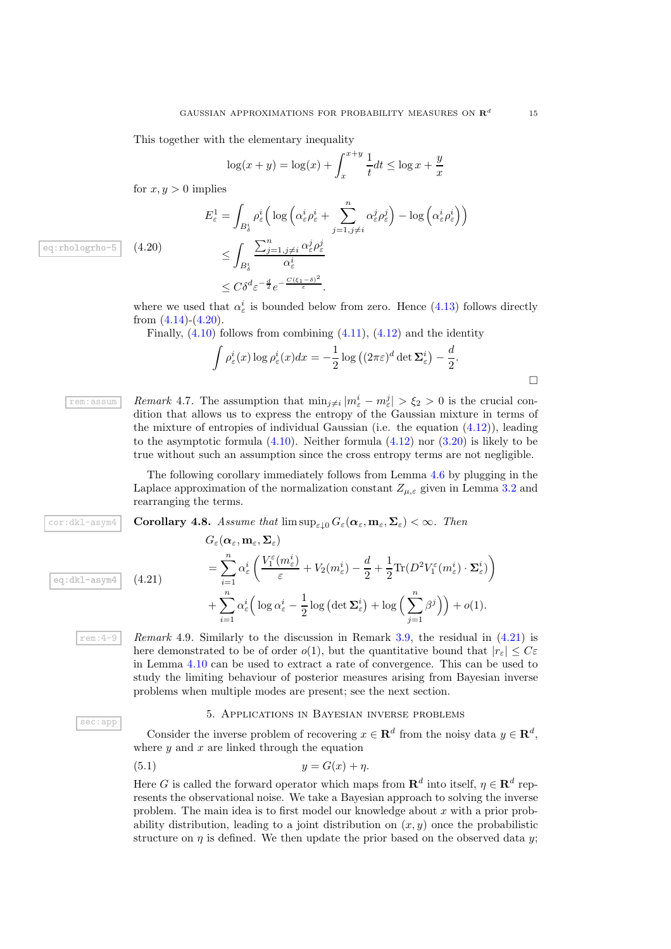This together with the elementary inequality

$$
\log(x+y) = \log(x) + \int_{x}^{x+y} \frac{1}{t} dt \le \log x + \frac{y}{x}
$$

for  $x, y > 0$  implies

<span id="page-14-3"></span>
$$
E_{\varepsilon}^{1} = \int_{B_{\delta}^{i}} \rho_{\varepsilon}^{i} \left( \log \left( \alpha_{\varepsilon}^{i} \rho_{\varepsilon}^{i} + \sum_{j=1, j \neq i}^{n} \alpha_{\varepsilon}^{j} \rho_{\varepsilon}^{j} \right) - \log \left( \alpha_{\varepsilon}^{i} \rho_{\varepsilon}^{i} \right) \right)
$$
  

$$
\leq \int_{B_{\delta}^{i}} \frac{\sum_{j=1, j \neq i}^{n} \alpha_{\varepsilon}^{j} \rho_{\varepsilon}^{j}}{\alpha_{\varepsilon}^{i}}
$$

eq:rhologrho-5  $(4.20)$ 

where we used that  $\alpha_{\varepsilon}^{i}$  is bounded below from zero. Hence [\(4.13\)](#page-13-1) follows directly from  $(4.14)-(4.20)$  $(4.14)-(4.20)$ .

Finally,  $(4.10)$  follows from combining  $(4.11)$ ,  $(4.12)$  and the identity

 $\leq C\delta^d \varepsilon^{-\frac{d}{2}}e^{-\frac{C(\xi_1-\delta)^2}{\varepsilon}}.$ 

$$
\int \rho_{\varepsilon}^{i}(x) \log \rho_{\varepsilon}^{i}(x) dx = -\frac{1}{2} \log \left( (2\pi\varepsilon)^{d} \det \Sigma_{\varepsilon}^{i} \right) - \frac{d}{2}.
$$

<span id="page-14-1"></span>**Followi Remark** 4.7. The assumption that  $\min_{j\neq i} |m_{\varepsilon}^i - m_{\varepsilon}^j| > \xi_2 > 0$  is the crucial condition that allows us to express the entropy of the Gaussian mixture in terms of the mixture of entropies of individual Gaussian (i.e. the equation [\(4.12\)](#page-12-2)), leading to the asymptotic formula  $(4.10)$ . Neither formula  $(4.12)$  nor  $(3.20)$  is likely to be true without such an assumption since the cross entropy terms are not negligible.

> <span id="page-14-2"></span>The following corollary immediately follows from Lemma [4.6](#page-12-3) by plugging in the Laplace approximation of the normalization constant  $Z_{\mu,\varepsilon}$  given in Lemma [3.2](#page-4-0) and rearranging the terms.

cor:dkl-asym4 **Corollary 4.8.** Assume that  $\limsup_{\varepsilon\downarrow 0} G_{\varepsilon}(\boldsymbol{\alpha}_{\varepsilon},\mathbf{m}_{\varepsilon},\boldsymbol{\Sigma}_{\varepsilon}) < \infty$ . Then

$$
\frac{\text{eq:dk1-asym4}}{\text{eq:dk1-asym4}} \quad (4.21) \qquad \qquad = \sum_{i=1}^{n} \alpha_{\varepsilon}^{i} \left( \frac{V_{1}^{\varepsilon}(m_{\varepsilon}^{i})}{\varepsilon} + V_{2}(m_{\varepsilon}^{i}) - \frac{d}{2} + \frac{1}{2} \text{Tr}(D^{2} V_{1}^{\varepsilon}(m_{\varepsilon}^{i}) \cdot \Sigma_{\varepsilon}^{i}) \right) \newline + \sum_{i=1}^{n} \alpha_{\varepsilon}^{i} \left( \log \alpha_{\varepsilon}^{i} - \frac{1}{2} \log \left( \det \Sigma_{\varepsilon}^{i} \right) + \log \left( \sum_{j=1}^{n} \beta^{j} \right) \right) + o(1).
$$

sec:app

rem:4-9 *Remark* 4.9*.* Similarly to the discussion in Remark [3.9,](#page-9-1) the residual in [\(4.21\)](#page-14-4) is here demonstrated to be of order  $o(1)$ , but the quantitative bound that  $|r_{\varepsilon}| \leq C\varepsilon$ in Lemma [4.10](#page-12-0) can be used to extract a rate of convergence. This can be used to study the limiting behaviour of posterior measures arising from Bayesian inverse problems when multiple modes are present; see the next section.

### 5. Applications in Bayesian inverse problems

<span id="page-14-0"></span>Consider the inverse problem of recovering  $x \in \mathbf{R}^d$  from the noisy data  $y \in \mathbf{R}^d$ , where  $y$  and  $x$  are linked through the equation

$$
(5.1) \t\t y = G(x) + \eta.
$$

<span id="page-14-4"></span> $C(\alpha, m, \Sigma)$ 

Here G is called the forward operator which maps from  $\mathbb{R}^d$  into itself,  $\eta \in \mathbb{R}^d$  represents the observational noise. We take a Bayesian approach to solving the inverse problem. The main idea is to first model our knowledge about  $x$  with a prior probability distribution, leading to a joint distribution on  $(x, y)$  once the probabilistic structure on  $\eta$  is defined. We then update the prior based on the observed data y;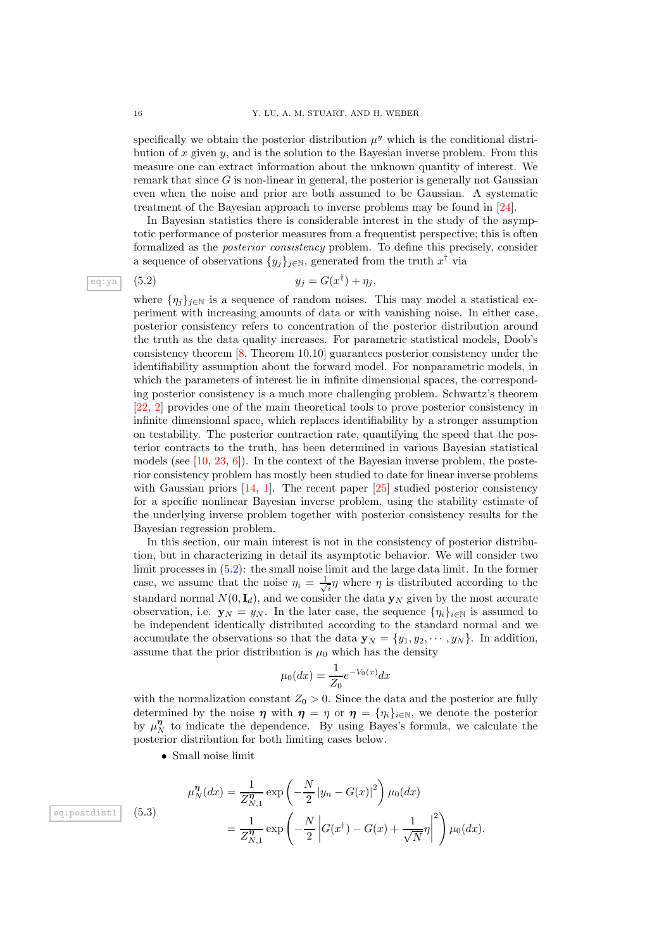specifically we obtain the posterior distribution  $\mu^y$  which is the conditional distribution of  $x$  given  $y$ , and is the solution to the Bayesian inverse problem. From this measure one can extract information about the unknown quantity of interest. We remark that since  $G$  is non-linear in general, the posterior is generally not Gaussian even when the noise and prior are both assumed to be Gaussian. A systematic treatment of the Bayesian approach to inverse problems may be found in [\[24\]](#page-22-11).

In Bayesian statistics there is considerable interest in the study of the asymptotic performance of posterior measures from a frequentist perspective; this is often formalized as the *posterior consistency* problem. To define this precisely, consider a sequence of observations  $\{y_j\}_{j\in\mathbb{N}}$ , generated from the truth  $x^{\dagger}$  via

eq:yn (5.2) 
$$
y_j = G(x^{\dagger}) + \eta_j,
$$

<span id="page-15-0"></span>where  $\{\eta_j\}_{j\in\mathbb{N}}$  is a sequence of random noises. This may model a statistical experiment with increasing amounts of data or with vanishing noise. In either case, posterior consistency refers to concentration of the posterior distribution around the truth as the data quality increases. For parametric statistical models, Doob's consistency theorem [\[8,](#page-22-1) Theorem 10.10] guarantees posterior consistency under the identifiability assumption about the forward model. For nonparametric models, in which the parameters of interest lie in infinite dimensional spaces, the corresponding posterior consistency is a much more challenging problem. Schwartz's theorem [\[22,](#page-22-12) [2\]](#page-22-13) provides one of the main theoretical tools to prove posterior consistency in infinite dimensional space, which replaces identifiability by a stronger assumption on testability. The posterior contraction rate, quantifying the speed that the posterior contracts to the truth, has been determined in various Bayesian statistical models (see  $[10, 23, 6]$  $[10, 23, 6]$  $[10, 23, 6]$  $[10, 23, 6]$ ). In the context of the Bayesian inverse problem, the posterior consistency problem has mostly been studied to date for linear inverse problems with Gaussian priors  $[14, 1]$  $[14, 1]$ . The recent paper  $[25]$  studied posterior consistency for a specific nonlinear Bayesian inverse problem, using the stability estimate of the underlying inverse problem together with posterior consistency results for the Bayesian regression problem.

In this section, our main interest is not in the consistency of posterior distribution, but in characterizing in detail its asymptotic behavior. We will consider two limit processes in [\(5.2\)](#page-15-0): the small noise limit and the large data limit. In the former case, we assume that the noise  $\eta_i = \frac{1}{\sqrt{2}}$  $\overline{\mathfrak{n}}\eta$  where  $\eta$  is distributed according to the standard normal  $N(0, I_d)$ , and we consider the data  $\mathbf{y}_N$  given by the most accurate observation, i.e.  $\mathbf{y}_N = y_N$ . In the later case, the sequence  $\{\eta_i\}_{i\in\mathbb{N}}$  is assumed to be independent identically distributed according to the standard normal and we accumulate the observations so that the data  $\mathbf{y}_N = \{y_1, y_2, \dots, y_N\}$ . In addition, assume that the prior distribution is  $\mu_0$  which has the density

$$
\mu_0(dx) = \frac{1}{Z_0} e^{-V_0(x)} dx
$$

with the normalization constant  $Z_0 > 0$ . Since the data and the posterior are fully determined by the noise  $\eta$  with  $\eta = \eta$  or  $\eta = {\eta_i}_{i \in \mathbb{N}}$ , we denote the posterior by  $\mu_N^{\eta}$  to indicate the dependence. By using Bayes's formula, we calculate the posterior distribution for both limiting cases below.

• Small noise limit

<span id="page-15-1"></span>
$$
\mu_N^{\eta}(dx) = \frac{1}{Z_{N,1}^{\eta}} \exp\left(-\frac{N}{2}|y_n - G(x)|^2\right) \mu_0(dx)
$$
  
= 
$$
\frac{1}{Z_{N,1}^{\eta}} \exp\left(-\frac{N}{2}\left|G(x^{\dagger}) - G(x) + \frac{1}{\sqrt{N}}\eta\right|^2\right) \mu_0(dx).
$$

eq:postdist1  $(5.3)$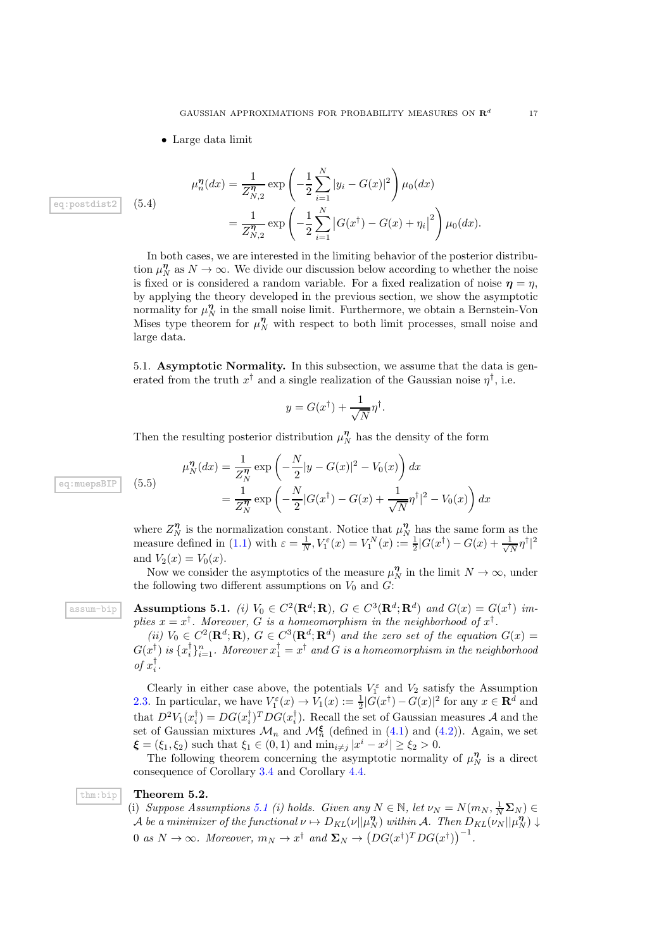• Large data limit

<span id="page-16-2"></span>
$$
\mu_n^{\eta}(dx) = \frac{1}{Z_{N,2}^{\eta}} \exp\left(-\frac{1}{2} \sum_{i=1}^N |y_i - G(x)|^2\right) \mu_0(dx)
$$
  
= 
$$
\frac{1}{Z_{N,2}^{\eta}} \exp\left(-\frac{1}{2} \sum_{i=1}^N |G(x^{\dagger}) - G(x) + \eta_i|^2\right) \mu_0(dx).
$$

In both cases, we are interested in the limiting behavior of the posterior distribution  $\mu_N^{\eta}$  as  $N \to \infty$ . We divide our discussion below according to whether the noise is fixed or is considered a random variable. For a fixed realization of noise  $\eta = \eta$ , by applying the theory developed in the previous section, we show the asymptotic normality for  $\mu_N^{\eta}$  in the small noise limit. Furthermore, we obtain a Bernstein-Von Mises type theorem for  $\mu_N^{\eta}$  with respect to both limit processes, small noise and large data.

5.1. Asymptotic Normality. In this subsection, we assume that the data is generated from the truth  $x^{\dagger}$  and a single realization of the Gaussian noise  $\eta^{\dagger}$ , i.e.

$$
y = G(x^{\dagger}) + \frac{1}{\sqrt{N}} \eta^{\dagger}.
$$

Then the resulting posterior distribution  $\mu_N^{\eta}$  has the density of the form

$$
\mu_N^{\eta}(dx) = \frac{1}{Z_N^{\eta}} \exp\left(-\frac{N}{2}|y - G(x)|^2 - V_0(x)\right) dx
$$
  
= 
$$
\frac{1}{Z_N^{\eta}} \exp\left(-\frac{N}{2}|G(x^{\dagger}) - G(x) + \frac{1}{\sqrt{N}}\eta^{\dagger}|^2 - V_0(x)\right) dx
$$

where  $Z_N^{\eta}$  is the normalization constant. Notice that  $\mu_N^{\eta}$  has the same form as the measure defined in [\(1.1\)](#page-1-0) with  $\varepsilon = \frac{1}{N}$ ,  $V_1^{\varepsilon}(x) = V_1^N(x) := \frac{1}{2}|G(x^{\dagger}) - G(x) + \frac{1}{\sqrt{2}}$  $\frac{1}{N}\eta^{\dagger}|^2$ and  $V_2(x) = V_0(x)$ .

Now we consider the asymptotics of the measure  $\mu_N^{\eta}$  in the limit  $N \to \infty$ , under the following two different assumptions on  $V_0$  and  $G$ :

 $\begin{array}{ll}\text{assum-bip} \end{array}\quad \textbf{Assumptions 5.1.} \ \ (i)\ \ V_0\in C^2(\mathbf{R}^d;\mathbf{R}),\ G\in C^3(\mathbf{R}^d;\mathbf{R}^d)\ \ and\ G(x)=G(x^\dagger)\ \ im-\ \ \end{array}$ plies  $x = x^{\dagger}$ . Moreover, G is a homeomorphism in the neighborhood of  $x^{\dagger}$ .

<span id="page-16-0"></span>(*ii*)  $V_0 \in C^2(\mathbf{R}^d;\mathbf{R})$ ,  $G \in C^3(\mathbf{R}^d;\mathbf{R}^d)$  and the zero set of the equation  $G(x)$  =  $G(x_1^{\dagger})$  is  $\{x_i^{\dagger}\}_{i=1}^n$ . Moreover  $x_1^{\dagger}=x^{\dagger}$  and  $G$  is a homeomorphism in the neighborhood *of*  $x_i^{\dagger}$ .

Clearly in either case above, the potentials  $V_1^{\varepsilon}$  and  $V_2$  satisfy the Assumption [2.3.](#page-2-2) In particular, we have  $V_1^{\varepsilon}(x) \to V_1(x) := \frac{1}{2}|G(x^{\dagger}) - G(x)|^2$  for any  $x \in \mathbb{R}^d$  and that  $D^2V_1(x_i^{\dagger}) = DG(x_i^{\dagger})^TDG(x_i^{\dagger})$ . Recall the set of Gaussian measures A and the set of Gaussian mixtures  $\mathcal{M}_n$  and  $\mathcal{M}_n^{\xi}$  (defined in [\(4.1\)](#page-9-2) and [\(4.2\)](#page-9-3)). Again, we set  $\xi = (\xi_1, \xi_2)$  such that  $\xi_1 \in (0, 1)$  and  $\min_{i \neq j} |x^i - x^j| \ge \xi_2 > 0$ .

The following theorem concerning the asymptotic normality of  $\mu_N^{\eta}$  is a direct consequence of Corollary [3.4](#page-4-2) and Corollary [4.4.](#page-11-4)

#### thm:bip Theorem 5.2.

<span id="page-16-1"></span>(i) *Suppose Assumptions* [5.1](#page-16-0) *(i) holds. Given any*  $N \in \mathbb{N}$ , let  $\nu_N = N(m_N, \frac{1}{N} \Sigma_N) \in$  $\mathcal A$  *be a minimizer of the functional*  $\nu \mapsto D_{KL}(\nu||\mu_N^{\boldsymbol\eta})$  within  $\mathcal A$ *. Then*  $D_{KL}(\nu_N||\mu_N^{\boldsymbol\eta}) \downarrow$ 0 *as*  $N \to \infty$ *. Moreover,*  $m_N \to x^{\dagger}$  *and*  $\Sigma_N \to (DG(x^{\dagger})^T DG(x^{\dagger}))^{-1}$ *.* 

eq:muepsBIP  $(5.5)$ 

eq:postdist2  $(5.4)$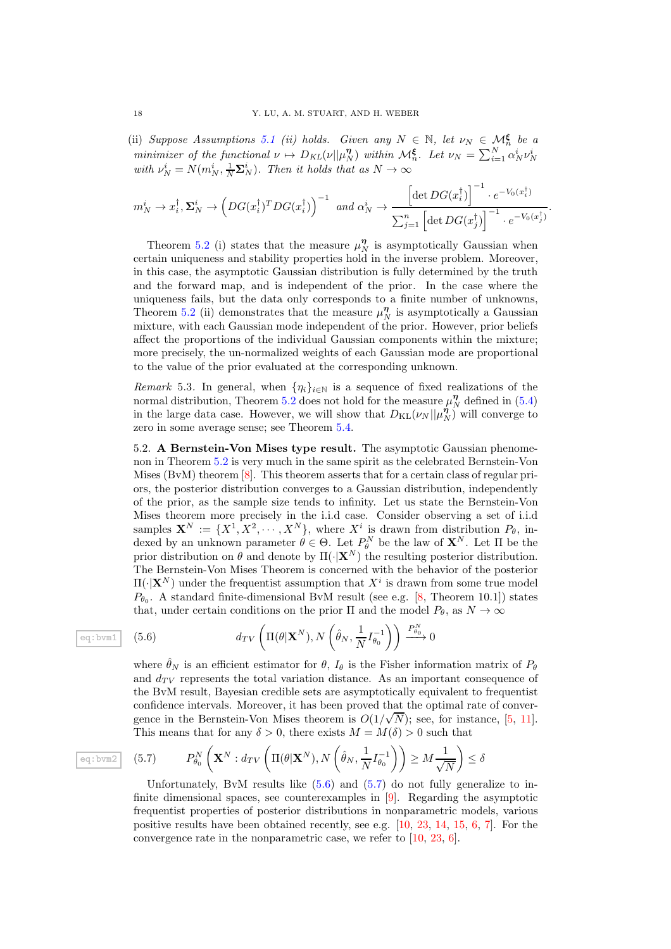(ii) *Suppose Assumptions* [5.1](#page-16-0) *(ii) holds.* Given any  $N \in \mathbb{N}$ , let  $\nu_N \in \mathcal{M}_n^{\xi}$  be a *minimizer of the functional*  $\nu \mapsto D_{KL}(\nu||\mu_N^{\eta})$  *within*  $\mathcal{M}_n^{\xi}$ . Let  $\nu_N = \sum_{i=1}^N \alpha_N^i \nu_N^i$ with  $\nu_N^i = N(m_N^i, \frac{1}{N} \Sigma_N^i)$ . Then it holds that as  $N \to \infty$ 

$$
m_N^i \to x_i^{\dagger}, \Sigma_N^i \to \left(DG(x_i^{\dagger})^T DG(x_i^{\dagger})\right)^{-1} \text{ and } \alpha_N^i \to \frac{\left[\det DG(x_i^{\dagger})\right]^{-1} \cdot e^{-V_0(x_i^{\dagger})}}{\sum_{j=1}^n \left[\det DG(x_j^{\dagger})\right]^{-1} \cdot e^{-V_0(x_j^{\dagger})}}.
$$

Theorem [5.2](#page-16-1) (i) states that the measure  $\mu_N^{\eta}$  is asymptotically Gaussian when certain uniqueness and stability properties hold in the inverse problem. Moreover, in this case, the asymptotic Gaussian distribution is fully determined by the truth and the forward map, and is independent of the prior. In the case where the uniqueness fails, but the data only corresponds to a finite number of unknowns, Theorem [5.2](#page-16-1) (ii) demonstrates that the measure  $\mu_N^{\eta}$  is asymptotically a Gaussian mixture, with each Gaussian mode independent of the prior. However, prior beliefs affect the proportions of the individual Gaussian components within the mixture; more precisely, the un-normalized weights of each Gaussian mode are proportional to the value of the prior evaluated at the corresponding unknown.

*Remark* 5.3. In general, when  $\{\eta_i\}_{i\in\mathbb{N}}$  is a sequence of fixed realizations of the normal distribution, Theorem [5.2](#page-16-1) does not hold for the measure  $\mu_N^{\eta}$  defined in [\(5.4\)](#page-16-2) in the large data case. However, we will show that  $D_{KL}(\nu_N || \mu_N^{\eta})$  will converge to zero in some average sense; see Theorem [5.4.](#page-18-0)

5.2. A Bernstein-Von Mises type result. The asymptotic Gaussian phenomenon in Theorem [5.2](#page-16-1) is very much in the same spirit as the celebrated Bernstein-Von Mises (BvM) theorem [\[8\]](#page-22-1). This theorem asserts that for a certain class of regular priors, the posterior distribution converges to a Gaussian distribution, independently of the prior, as the sample size tends to infinity. Let us state the Bernstein-Von Mises theorem more precisely in the i.i.d case. Consider observing a set of i.i.d samples  $\mathbf{X}^N := \{X^1, X^2, \cdots, X^N\}$ , where  $X^i$  is drawn from distribution  $P_\theta$ , indexed by an unknown parameter  $\theta \in \Theta$ . Let  $P_{\theta}^{N}$  be the law of  $\mathbf{X}^{N}$ . Let  $\Pi$  be the prior distribution on  $\theta$  and denote by  $\Pi(\cdot|\mathbf{X}^{N})$  the resulting posterior distribution. The Bernstein-Von Mises Theorem is concerned with the behavior of the posterior  $\Pi(\cdot|\mathbf{X}^N)$  under the frequentist assumption that  $X^i$  is drawn from some true model  $P_{\theta_0}$ . A standard finite-dimensional BvM result (see e.g. [\[8,](#page-22-1) Theorem 10.1]) states that, under certain conditions on the prior  $\Pi$  and the model  $P_{\theta}$ , as  $N \to \infty$ 

eq: bvm1 (5.6) 
$$
d_{TV}\left(\Pi(\theta|\mathbf{X}^N), N\left(\hat{\theta}_N, \frac{1}{N}I_{\theta_0}^{-1}\right)\right) \xrightarrow{P_{\theta_0}^N} 0
$$

<span id="page-17-0"></span>where  $\hat{\theta}_N$  is an efficient estimator for  $\theta$ ,  $I_{\theta}$  is the Fisher information matrix of  $P_{\theta}$ and  $d_{TV}$  represents the total variation distance. As an important consequence of the BvM result, Bayesian credible sets are asymptotically equivalent to frequentist confidence intervals. Moreover, it has been proved that the optimal rate of convergence in the Bernstein-Von Mises theorem is  $O(1/\sqrt{N})$ ; see, for instance, [\[5,](#page-22-20) [11\]](#page-22-21). This means that for any  $\delta > 0$ , there exists  $M = M(\delta) > 0$  such that

$$
\boxed{\text{eq: bvm2}} \quad (5.7) \qquad P_{\theta_0}^N\left(\mathbf{X}^N: d_{TV}\left(\Pi(\theta|\mathbf{X}^N), N\left(\hat{\theta}_N, \frac{1}{N}I_{\theta_0}^{-1}\right)\right) \ge M\frac{1}{\sqrt{N}}\right) \le \delta
$$

<span id="page-17-1"></span>Unfortunately, ByM results like  $(5.6)$  and  $(5.7)$  do not fully generalize to infinite dimensional spaces, see counterexamples in [\[9\]](#page-22-22). Regarding the asymptotic frequentist properties of posterior distributions in nonparametric models, various positive results have been obtained recently, see e.g. [\[10,](#page-22-14) [23,](#page-22-15) [14,](#page-22-17) [15,](#page-22-23) [6,](#page-22-16) [7\]](#page-22-24). For the convergence rate in the nonparametric case, we refer to [\[10,](#page-22-14) [23,](#page-22-15) [6\]](#page-22-16).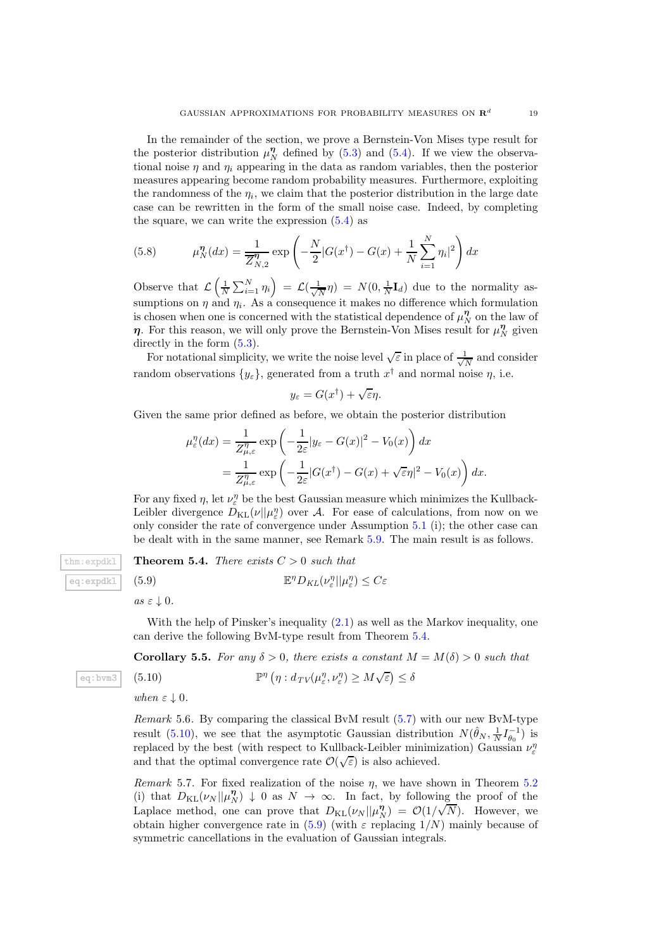In the remainder of the section, we prove a Bernstein-Von Mises type result for the posterior distribution  $\mu_N^{\eta}$  defined by [\(5.3\)](#page-15-1) and [\(5.4\)](#page-16-2). If we view the observational noise  $\eta$  and  $\eta_i$  appearing in the data as random variables, then the posterior measures appearing become random probability measures. Furthermore, exploiting the randomness of the  $\eta_i$ , we claim that the posterior distribution in the large date case can be rewritten in the form of the small noise case. Indeed, by completing the square, we can write the expression  $(5.4)$  as

(5.8) 
$$
\mu_N^{\eta}(dx) = \frac{1}{\overline{Z}_{N,2}^{\eta}} \exp\left(-\frac{N}{2}|G(x^{\dagger}) - G(x) + \frac{1}{N}\sum_{i=1}^{N}\eta_i|^2\right)dx
$$

Observe that  $\mathcal{L}\left(\frac{1}{N}\sum_{i=1}^{N}\eta_i\right) = \mathcal{L}(\frac{1}{\sqrt{l}})$  $\frac{1}{N}\eta$  =  $N(0, \frac{1}{N}I_d)$  due to the normality assumptions on  $\eta$  and  $\eta_i$ . As a consequence it makes no difference which formulation is chosen when one is concerned with the statistical dependence of  $\mu_N^{\eta}$  on the law of  $\eta$ . For this reason, we will only prove the Bernstein-Von Mises result for  $\mu_N^{\eta}$  given directly in the form  $(5.3)$ .

For notational simplicity, we write the noise level  $\sqrt{\varepsilon}$  in place of  $\frac{1}{\sqrt{\varepsilon}}$  $\frac{1}{N}$  and consider random observations  $\{y_{\varepsilon}\}\text{, generated from a truth } x^{\dagger} \text{ and normal noise } \eta \text{, i.e.}$ 

$$
y_{\varepsilon} = G(x^{\dagger}) + \sqrt{\varepsilon}\eta.
$$

Given the same prior defined as before, we obtain the posterior distribution

$$
\mu_{\varepsilon}^{\eta}(dx) = \frac{1}{Z_{\mu,\varepsilon}^{\eta}} \exp\left(-\frac{1}{2\varepsilon}|y_{\varepsilon} - G(x)|^2 - V_0(x)\right) dx
$$
  
= 
$$
\frac{1}{Z_{\mu,\varepsilon}^{\eta}} \exp\left(-\frac{1}{2\varepsilon}|G(x^{\dagger}) - G(x) + \sqrt{\varepsilon}\eta|^2 - V_0(x)\right) dx.
$$

For any fixed  $\eta$ , let  $\nu_{\varepsilon}^{\eta}$  be the best Gaussian measure which minimizes the Kullback-Leibler divergence  $D_{\text{KL}}(\nu||\mu_{\varepsilon}^{\eta})$  over A. For ease of calculations, from now on we only consider the rate of convergence under Assumption [5.1](#page-16-0) (i); the other case can be dealt with in the same manner, see Remark [5.9.](#page-21-0) The main result is as follows.

# eq:expdkl  $(5.9)$

eq:bvm3

 $t_{\text{thm}: \text{expdk1}}$  Theorem 5.4. *There exists*  $C > 0$  *such that*  $P_{KL}(\nu_{\varepsilon}^{\eta}||\mu_{\varepsilon}^{\eta}) \leq C\varepsilon$ 

<span id="page-18-2"></span><span id="page-18-0"></span> $as \varepsilon \downarrow 0.$ 

With the help of Pinsker's inequality  $(2.1)$  as well as the Markov inequality, one can derive the following BvM-type result from Theorem [5.4.](#page-18-0)

<span id="page-18-1"></span>**Corollary 5.5.** For any  $\delta > 0$ , there exists a constant  $M = M(\delta) > 0$  such that

(5.10) 
$$
\mathbb{P}^{\eta}(\eta: d_{TV}(\mu_{\varepsilon}^{\eta}, \nu_{\varepsilon}^{\eta}) \geq M \sqrt{\varepsilon}) \leq \delta
$$

 $when \varepsilon \downarrow 0.$ 

*Remark* 5.6*.* By comparing the classical BvM result [\(5.7\)](#page-17-1) with our new BvM-type result [\(5.10\)](#page-18-1), we see that the asymptotic Gaussian distribution  $N(\hat{\theta}_N, \frac{1}{N}I_{\theta_0}^{-1})$  is replaced by the best (with respect to Kullback-Leibler minimization) Gaussian  $\nu_{\varepsilon}^{\eta}$ and that the optimal convergence rate  $\mathcal{O}(\sqrt{\varepsilon})$  is also achieved.

*Remark* 5.7. For fixed realization of the noise  $\eta$ , we have shown in Theorem [5.2](#page-16-1) (i) that  $D_{KL}(\nu_N||\mu_N^n) \downarrow 0$  as  $N \to \infty$ . In fact, by following the proof of the Laplace method, one can prove that  $D_{KL}(\nu_N || \mu_N^{\eta}) = \mathcal{O}(1/\sqrt{N})$ . However, we obtain higher convergence rate in [\(5.9\)](#page-18-2) (with  $\varepsilon$  replacing  $1/N$ ) mainly because of symmetric cancellations in the evaluation of Gaussian integrals.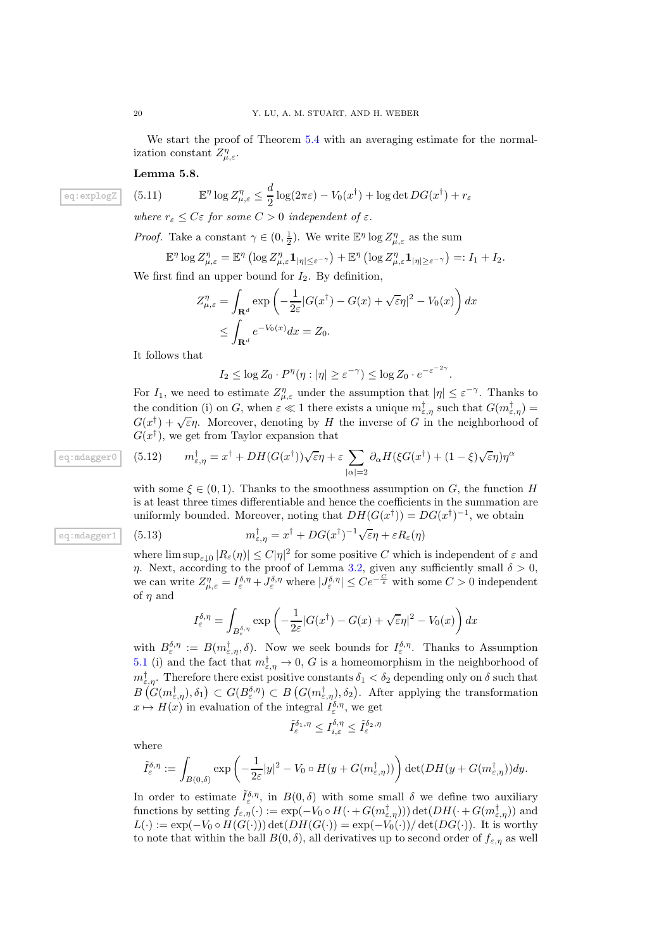We start the proof of Theorem [5.4](#page-18-0) with an averaging estimate for the normalization constant  $Z_{\mu,\varepsilon}^{\eta}$ .

Lemma 5.8.

eq: 
$$
\exp \log Z
$$
 (5.11)  $\mathbb{E}^{\eta} \log Z_{\mu,\varepsilon}^{\eta} \leq \frac{d}{2} \log(2\pi\varepsilon) - V_0(x^{\dagger}) + \log \det DG(x^{\dagger}) + r_{\varepsilon}$ 

*where*  $r_{\varepsilon} \leq C \varepsilon$  *for some*  $C > 0$  *independent* of  $\varepsilon$ *.* 

*Proof.* Take a constant  $\gamma \in (0, \frac{1}{2})$ . We write  $\mathbb{E}^{\eta} \log Z_{\mu, \varepsilon}^{\eta}$  as the sum

$$
\mathbb{E}^{\eta} \log Z_{\mu,\varepsilon}^{\eta} = \mathbb{E}^{\eta} \left( \log Z_{\mu,\varepsilon}^{\eta} \mathbf{1}_{|\eta| \leq \varepsilon^{-\gamma}} \right) + \mathbb{E}^{\eta} \left( \log Z_{\mu,\varepsilon}^{\eta} \mathbf{1}_{|\eta| \geq \varepsilon^{-\gamma}} \right) =: I_1 + I_2.
$$

We first find an upper bound for  $I_2$ . By definition,

$$
Z_{\mu,\varepsilon}^{\eta} = \int_{\mathbf{R}^d} \exp\left(-\frac{1}{2\varepsilon} |G(x^{\dagger}) - G(x) + \sqrt{\varepsilon}\eta|^2 - V_0(x)\right) dx
$$
  

$$
\leq \int_{\mathbf{R}^d} e^{-V_0(x)} dx = Z_0.
$$

It follows that

$$
I_2 \le \log Z_0 \cdot P^{\eta}(\eta : |\eta| \ge \varepsilon^{-\gamma}) \le \log Z_0 \cdot e^{-\varepsilon^{-2\gamma}}.
$$

For  $I_1$ , we need to estimate  $Z_{\mu,\varepsilon}^{\eta}$  under the assumption that  $|\eta| \leq \varepsilon^{-\gamma}$ . Thanks to the condition (i) on G, when  $\varepsilon \ll 1$  there exists a unique  $m_{\varepsilon,\eta}^{\dagger}$  such that  $G(m_{\varepsilon,\eta}^{\dagger}) =$  $G(x^{\dagger}) + \sqrt{\varepsilon}\eta$ . Moreover, denoting by H the inverse of G in the neighborhood of  $G(x^{\dagger})$ , we get from Taylor expansion that

<span id="page-19-1"></span>(5.12) 
$$
m_{\varepsilon,\eta}^{\dagger} = x^{\dagger} + DH(G(x^{\dagger}))\sqrt{\varepsilon}\eta + \varepsilon \sum_{|\alpha|=2} \partial_{\alpha}H(\xi G(x^{\dagger}) + (1-\xi)\sqrt{\varepsilon}\eta)\eta^{\alpha}
$$

with some  $\xi \in (0,1)$ . Thanks to the smoothness assumption on G, the function H is at least three times differentiable and hence the coefficients in the summation are uniformly bounded. Moreover, noting that  $DH(G(x^{\dagger})) = DG(x^{\dagger})^{-1}$ , we obtain

eq: 
$$
\overline{m}_{\varepsilon,\eta}^{\dagger} = x^{\dagger} + DG(x^{\dagger})^{-1} \sqrt{\varepsilon} \eta + \varepsilon R_{\varepsilon}(\eta)
$$

where  $\limsup_{\varepsilon\downarrow 0}$   $|R_{\varepsilon}(\eta)| \leq C|\eta|^2$  for some positive C which is independent of  $\varepsilon$  and η. Next, according to the proof of Lemma [3.2,](#page-4-0) given any sufficiently small  $\delta > 0$ , we can write  $Z_{\mu,\varepsilon}^{\eta} = I_{\varepsilon}^{\delta,\eta} + J_{\varepsilon}^{\delta,\eta}$  where  $|J_{\varepsilon}^{\delta,\eta}| \leq Ce^{-\frac{C}{\varepsilon}}$  with some  $C > 0$  independent of  $\eta$  and

<span id="page-19-0"></span>
$$
I_{\varepsilon}^{\delta,\eta} = \int_{B_{\varepsilon}^{\delta,\eta}} \exp\left(-\frac{1}{2\varepsilon} |G(x^{\dagger}) - G(x) + \sqrt{\varepsilon}\eta|^2 - V_0(x)\right) dx
$$

with  $B_{\varepsilon}^{\delta,\eta} := B(m_{\varepsilon,\eta}^{\dagger},\delta)$ . Now we seek bounds for  $I_{\varepsilon}^{\delta,\eta}$ . Thanks to Assumption [5.1](#page-16-0) (i) and the fact that  $m^{\dagger}_{\varepsilon,\eta} \to 0$ , G is a homeomorphism in the neighborhood of  $m^{\dagger}_{\varepsilon,\eta}$ . Therefore there exist positive constants  $\delta_1 < \delta_2$  depending only on  $\delta$  such that  $B(G(m^{\dagger}_{\varepsilon,\eta}),\delta_1) \subset G(B^{\delta,\eta}_{\varepsilon}) \subset B(G(m^{\dagger}_{\varepsilon,\eta}),\delta_2)$ . After applying the transformation  $x \mapsto H(x)$  in evaluation of the integral  $I_{\varepsilon}^{\delta,\eta}$ , we get

$$
\tilde{I}_{\varepsilon}^{\delta_1,\eta} \leq I_{i,\varepsilon}^{\delta,\eta} \leq \tilde{I}_{\varepsilon}^{\delta_2,\eta}
$$

where

$$
\tilde{I}_{\varepsilon}^{\delta,\eta} := \int_{B(0,\delta)} \exp\left(-\frac{1}{2\varepsilon}|y|^2 - V_0 \circ H(y + G(m_{\varepsilon,\eta}^{\dagger}))\right) \det(DH(y + G(m_{\varepsilon,\eta}^{\dagger}))dy).
$$

In order to estimate  $\tilde{I}_{\varepsilon}^{\delta,\eta}$ , in  $B(0,\delta)$  with some small  $\delta$  we define two auxiliary functions by setting  $f_{\varepsilon,\eta}(\cdot) := \exp(-V_0 \circ H(\cdot + G(m_{\varepsilon,\eta}^{\dagger}))) \det(DH(\cdot + G(m_{\varepsilon,\eta}^{\dagger}))$  and  $L(\cdot) := \exp(-V_0 \circ H(G(\cdot))) \det(DH(G(\cdot))) = \exp(-V_0(\cdot))/\det(DG(\cdot)).$  It is worthy to note that within the ball  $B(0, \delta)$ , all derivatives up to second order of  $f_{\varepsilon, \eta}$  as well

eq:mdagger0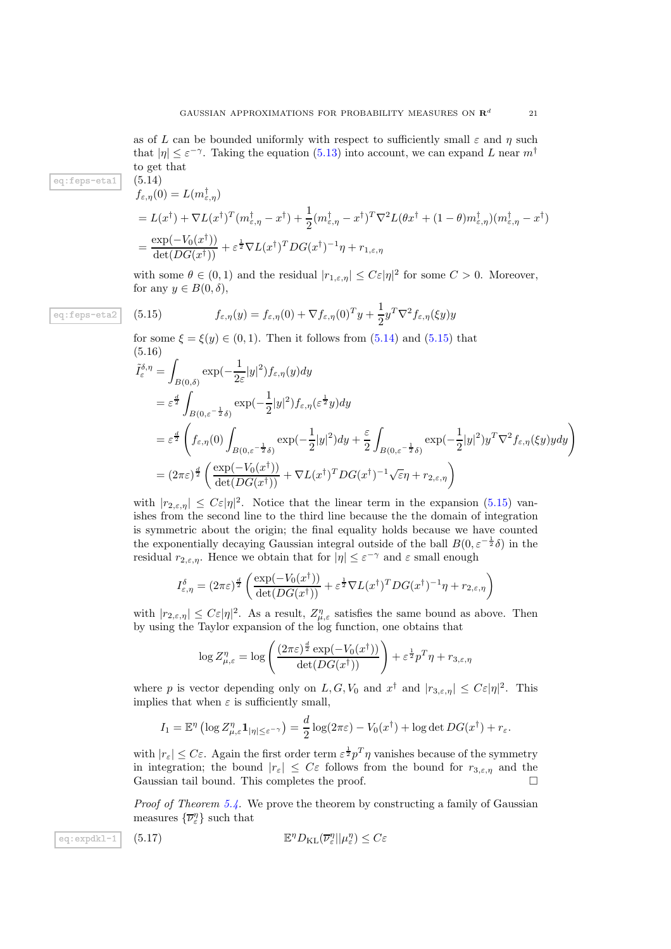as of L can be bounded uniformly with respect to sufficiently small  $\varepsilon$  and  $\eta$  such that  $|\eta| \leq \varepsilon^{-\gamma}$ . Taking the equation [\(5.13\)](#page-19-0) into account, we can expand L near  $m^{\dagger}$ to get that

eq:feps-eta1  $(5.14)$ 

<span id="page-20-0"></span>
$$
f_{\varepsilon,\eta}(0) = L(m_{\varepsilon,\eta}^{\dagger})
$$
  
=  $L(x^{\dagger}) + \nabla L(x^{\dagger})^T (m_{\varepsilon,\eta}^{\dagger} - x^{\dagger}) + \frac{1}{2} (m_{\varepsilon,\eta}^{\dagger} - x^{\dagger})^T \nabla^2 L(\theta x^{\dagger} + (1 - \theta) m_{\varepsilon,\eta}^{\dagger}) (m_{\varepsilon,\eta}^{\dagger} - x^{\dagger})$   
=  $\frac{\exp(-V_0(x^{\dagger}))}{\det(DG(x^{\dagger}))} + \varepsilon^{\frac{1}{2}} \nabla L(x^{\dagger})^T DG(x^{\dagger})^{-1} \eta + r_{1,\varepsilon,\eta}$ 

with some  $\theta \in (0,1)$  and the residual  $|r_{1,\varepsilon,\eta}| \leq C\varepsilon |\eta|^2$  for some  $C > 0$ . Moreover, for any  $y \in B(0,\delta)$ ,

eq:feps-eta2 (5.15) 
$$
f_{\varepsilon,\eta}(y) = f_{\varepsilon,\eta}(0) + \nabla f_{\varepsilon,\eta}(0)^T y + \frac{1}{2} y^T \nabla^2 f_{\varepsilon,\eta}(\xi y) y
$$

<span id="page-20-1"></span>for some  $\xi = \xi(y) \in (0, 1)$ . Then it follows from  $(5.14)$  and  $(5.15)$  that (5.16)

$$
\tilde{I}_{\varepsilon}^{\delta,\eta} = \int_{B(0,\delta)} \exp(-\frac{1}{2\varepsilon}|y|^2) f_{\varepsilon,\eta}(y) dy
$$
\n
$$
= \varepsilon^{\frac{d}{2}} \int_{B(0,\varepsilon^{-\frac{1}{2}\delta})} \exp(-\frac{1}{2}|y|^2) f_{\varepsilon,\eta}(\varepsilon^{\frac{1}{2}}y) dy
$$
\n
$$
= \varepsilon^{\frac{d}{2}} \left( f_{\varepsilon,\eta}(0) \int_{B(0,\varepsilon^{-\frac{1}{2}\delta})} \exp(-\frac{1}{2}|y|^2) dy + \frac{\varepsilon}{2} \int_{B(0,\varepsilon^{-\frac{1}{2}\delta})} \exp(-\frac{1}{2}|y|^2) y^T \nabla^2 f_{\varepsilon,\eta}(\xi y) y dy \right)
$$
\n
$$
= (2\pi\varepsilon)^{\frac{d}{2}} \left( \frac{\exp(-V_0(x^{\dagger}))}{\det(DG(x^{\dagger}))} + \nabla L(x^{\dagger})^T DG(x^{\dagger})^{-1} \sqrt{\varepsilon} \eta + r_{2,\varepsilon,\eta} \right)
$$

with  $|r_{2,\varepsilon,\eta}| \leq C\varepsilon |\eta|^2$ . Notice that the linear term in the expansion [\(5.15\)](#page-20-1) vanishes from the second line to the third line because the the domain of integration is symmetric about the origin; the final equality holds because we have counted the exponentially decaying Gaussian integral outside of the ball  $B(0, \varepsilon^{-\frac{1}{2}}\delta)$  in the residual  $r_{2,\varepsilon,\eta}$ . Hence we obtain that for  $|\eta| \leq \varepsilon^{-\gamma}$  and  $\varepsilon$  small enough

$$
I_{\varepsilon,\eta}^{\delta} = (2\pi\varepsilon)^{\frac{d}{2}} \left( \frac{\exp(-V_0(x^{\dagger}))}{\det(DG(x^{\dagger}))} + \varepsilon^{\frac{1}{2}} \nabla L(x^{\dagger})^T DG(x^{\dagger})^{-1} \eta + r_{2,\varepsilon,\eta} \right)
$$

with  $|r_{2,\varepsilon,\eta}| \leq C\varepsilon |\eta|^2$ . As a result,  $Z_{\mu,\varepsilon}^{\eta}$  satisfies the same bound as above. Then by using the Taylor expansion of the log function, one obtains that

$$
\log Z_{\mu,\varepsilon}^{\eta} = \log \left( \frac{(2\pi\varepsilon)^{\frac{d}{2}} \exp(-V_0(x^{\dagger}))}{\det(DG(x^{\dagger}))} \right) + \varepsilon^{\frac{1}{2}} p^T \eta + r_{3,\varepsilon,\eta}
$$

where p is vector depending only on  $L, G, V_0$  and  $x^{\dagger}$  and  $|r_{3,\varepsilon,\eta}| \leq C\varepsilon |\eta|^2$ . This implies that when  $\varepsilon$  is sufficiently small,

$$
I_1 = \mathbb{E}^{\eta} \left( \log Z_{\mu,\varepsilon}^{\eta} \mathbf{1}_{|\eta| \leq \varepsilon^{-\gamma}} \right) = \frac{d}{2} \log(2\pi\varepsilon) - V_0(x^{\dagger}) + \log \det DG(x^{\dagger}) + r_{\varepsilon}.
$$

with  $|r_{\varepsilon}| \leq C\varepsilon$ . Again the first order term  $\varepsilon^{\frac{1}{2}} p^T \eta$  vanishes because of the symmetry in integration; the bound  $|r_{\varepsilon}| \leq C\varepsilon$  follows from the bound for  $r_{3,\varepsilon,\eta}$  and the Gaussian tail bound. This completes the proof. Gaussian tail bound. This completes the proof.

<span id="page-20-2"></span>*Proof of Theorem [5.4.](#page-18-0)* We prove the theorem by constructing a family of Gaussian measures  $\{\overline{\nu}_\varepsilon^\eta\}$  such that

eq: 
$$
\exp\left(\frac{1}{2}\pi\right)
$$
 (5.17)  $\mathbb{E}^{\eta}D_{\mathrm{KL}}(\overline{\nu}_{\varepsilon}^{\eta}||\mu_{\varepsilon}^{\eta}) \leq C\varepsilon$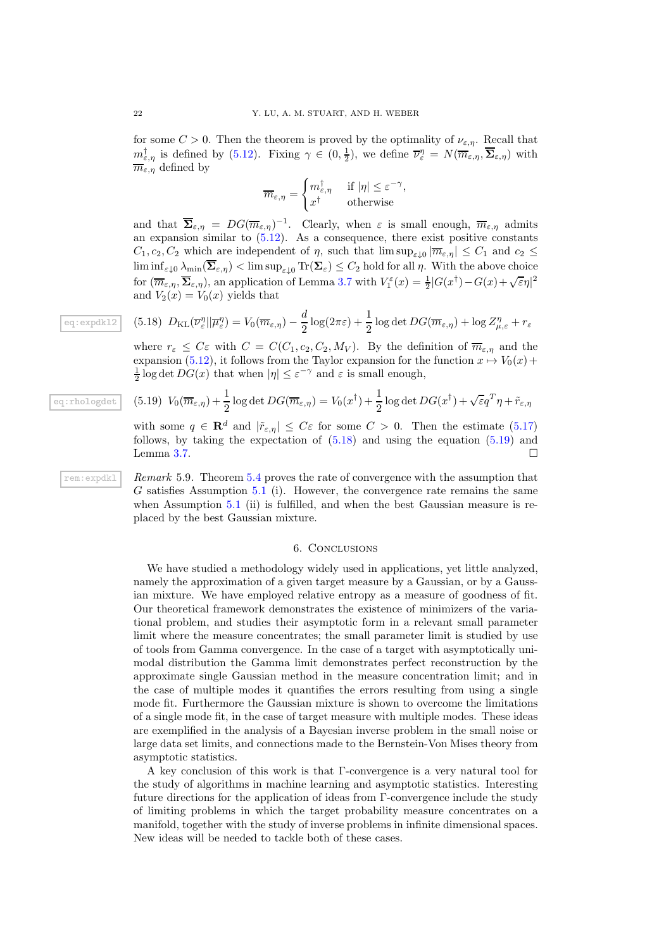for some  $C > 0$ . Then the theorem is proved by the optimality of  $\nu_{\varepsilon,\eta}$ . Recall that  $m_{\varepsilon,\eta}^{\dagger}$  is defined by [\(5.12\)](#page-19-1). Fixing  $\gamma \in (0, \frac{1}{2})$ , we define  $\overline{\nu}_{\varepsilon}^{\eta} = N(\overline{m}_{\varepsilon,\eta}, \overline{\Sigma}_{\varepsilon,\eta})$  with  $\overline{m}_{\varepsilon,n}$  defined by

$$
\overline{m}_{\varepsilon,\eta} = \begin{cases} m_{\varepsilon,\eta}^{\dagger} & \text{if } |\eta| \leq \varepsilon^{-\gamma}, \\ x^{\dagger} & \text{otherwise} \end{cases}
$$

and that  $\overline{\Sigma}_{\varepsilon,\eta} = DG(\overline{m}_{\varepsilon,\eta})^{-1}$ . Clearly, when  $\varepsilon$  is small enough,  $\overline{m}_{\varepsilon,\eta}$  admits an expansion similar to  $(5.12)$ . As a consequence, there exist positive constants  $C_1, c_2, C_2$  which are independent of  $\eta$ , such that  $\limsup_{\varepsilon \downarrow 0} |\overline{m}_{\varepsilon, \eta}| \leq C_1$  and  $c_2 \leq$  $\liminf_{\varepsilon \downarrow 0} \lambda_{\min}(\overline{\Sigma}_{\varepsilon,\eta}) < \limsup_{\varepsilon \downarrow 0} \text{Tr}(\Sigma_{\varepsilon}) \leq C_2$  hold for all  $\eta$ . With the above choice for  $(\overline{m}_{\varepsilon,\eta},\overline{\Sigma}_{\varepsilon,\eta}),$  an application of Lemma [3.7](#page-8-1) with  $V_1^{\varepsilon}(x) = \frac{1}{2}|G(x^{\dagger}) - G(x) + \sqrt{\varepsilon}\eta|^2$ and  $V_2(x) = V_0(x)$  yields that

<span id="page-21-1"></span>
$$
(5.18)\ \ D_{\mathrm{KL}}(\overline{\nu}_{\varepsilon}^{\eta}||\overline{\mu}_{\varepsilon}^{\eta}) = V_0(\overline{m}_{\varepsilon,\eta}) - \frac{d}{2}\log(2\pi\varepsilon) + \frac{1}{2}\log\det DG(\overline{m}_{\varepsilon,\eta}) + \log Z_{\mu,\varepsilon}^{\eta} + r_{\varepsilon}
$$

where  $r_{\varepsilon} \leq C \varepsilon$  with  $C = C(C_1, c_2, C_2, M_V)$ . By the definition of  $\overline{m}_{\varepsilon, \eta}$  and the expansion [\(5.12\)](#page-19-1), it follows from the Taylor expansion for the function  $x \mapsto V_0(x)$ +  $\frac{1}{2}$  log det  $DG(x)$  that when  $|\eta| \leq \varepsilon^{-\gamma}$  and  $\varepsilon$  is small enough,

<span id="page-21-2"></span>(5.19) 
$$
V_0(\overline{m}_{\varepsilon,\eta}) + \frac{1}{2} \log \det DG(\overline{m}_{\varepsilon,\eta}) = V_0(x^{\dagger}) + \frac{1}{2} \log \det DG(x^{\dagger}) + \sqrt{\varepsilon} q^T \eta + \tilde{r}_{\varepsilon,\eta}
$$

<span id="page-21-0"></span>with some  $q \in \mathbf{R}^d$  and  $|\tilde{r}_{\varepsilon,\eta}| \leq C\varepsilon$  for some  $C > 0$ . Then the estimate [\(5.17\)](#page-20-2) follows, by taking the expectation of  $(5.18)$  and using the equation  $(5.19)$  and Lemma [3.7.](#page-8-1)  $\Box$ 

rem:expdkl *Remark* 5.9*.* Theorem [5.4](#page-18-0) proves the rate of convergence with the assumption that G satisfies Assumption [5.1](#page-16-0) (i). However, the convergence rate remains the same when Assumption [5.1](#page-16-0) (ii) is fulfilled, and when the best Gaussian measure is replaced by the best Gaussian mixture.

#### 6. Conclusions

We have studied a methodology widely used in applications, yet little analyzed, namely the approximation of a given target measure by a Gaussian, or by a Gaussian mixture. We have employed relative entropy as a measure of goodness of fit. Our theoretical framework demonstrates the existence of minimizers of the variational problem, and studies their asymptotic form in a relevant small parameter limit where the measure concentrates; the small parameter limit is studied by use of tools from Gamma convergence. In the case of a target with asymptotically unimodal distribution the Gamma limit demonstrates perfect reconstruction by the approximate single Gaussian method in the measure concentration limit; and in the case of multiple modes it quantifies the errors resulting from using a single mode fit. Furthermore the Gaussian mixture is shown to overcome the limitations of a single mode fit, in the case of target measure with multiple modes. These ideas are exemplified in the analysis of a Bayesian inverse problem in the small noise or large data set limits, and connections made to the Bernstein-Von Mises theory from asymptotic statistics.

A key conclusion of this work is that Γ-convergence is a very natural tool for the study of algorithms in machine learning and asymptotic statistics. Interesting future directions for the application of ideas from Γ-convergence include the study of limiting problems in which the target probability measure concentrates on a manifold, together with the study of inverse problems in infinite dimensional spaces. New ideas will be needed to tackle both of these cases.

eq:expdkl2

eq:rhologdet